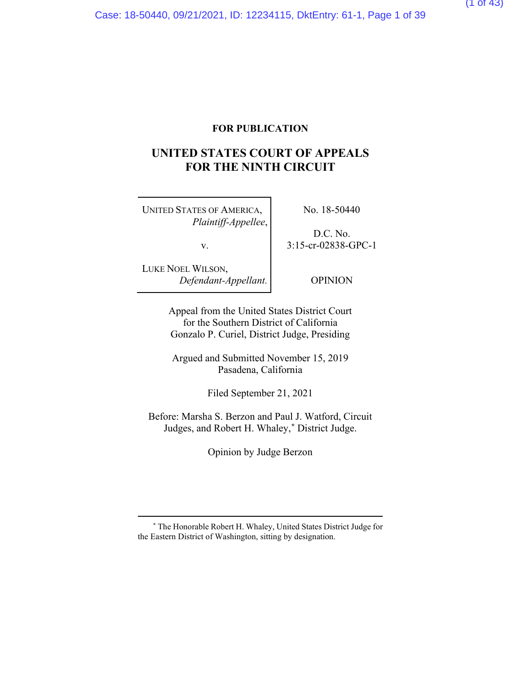### **FOR PUBLICATION**

## **UNITED STATES COURT OF APPEALS FOR THE NINTH CIRCUIT**

UNITED STATES OF AMERICA, *Plaintiff-Appellee*,

v.

No. 18-50440

D.C. No. 3:15-cr-02838-GPC-1

LUKE NOEL WILSON, *Defendant-Appellant.*

OPINION

Appeal from the United States District Court for the Southern District of California Gonzalo P. Curiel, District Judge, Presiding

Argued and Submitted November 15, 2019 Pasadena, California

Filed September 21, 2021

Before: Marsha S. Berzon and Paul J. Watford, Circuit Judges, and Robert H. Whaley,**[\\*](#page-38-0)** District Judge.

Opinion by Judge Berzon

**<sup>\*</sup>** The Honorable Robert H. Whaley, United States District Judge for the Eastern District of Washington, sitting by designation.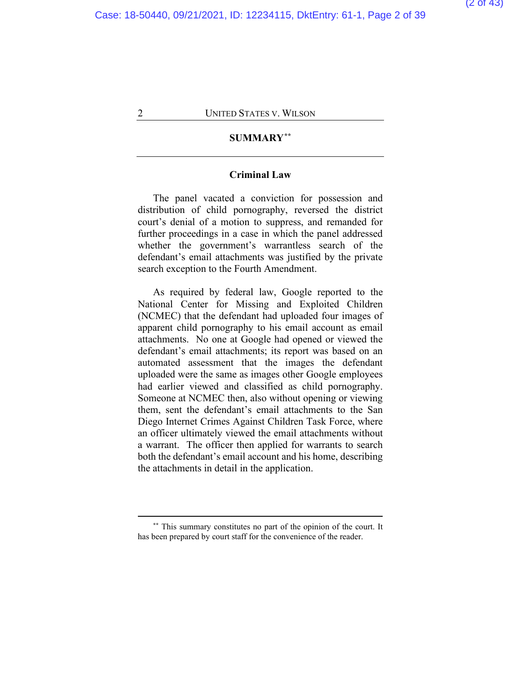## **SUMMARY[\\*\\*](#page-38-0)**

### **Criminal Law**

The panel vacated a conviction for possession and distribution of child pornography, reversed the district court's denial of a motion to suppress, and remanded for further proceedings in a case in which the panel addressed whether the government's warrantless search of the defendant's email attachments was justified by the private search exception to the Fourth Amendment.

As required by federal law, Google reported to the National Center for Missing and Exploited Children (NCMEC) that the defendant had uploaded four images of apparent child pornography to his email account as email attachments. No one at Google had opened or viewed the defendant's email attachments; its report was based on an automated assessment that the images the defendant uploaded were the same as images other Google employees had earlier viewed and classified as child pornography. Someone at NCMEC then, also without opening or viewing them, sent the defendant's email attachments to the San Diego Internet Crimes Against Children Task Force, where an officer ultimately viewed the email attachments without a warrant. The officer then applied for warrants to search both the defendant's email account and his home, describing the attachments in detail in the application.

**<sup>\*\*</sup>** This summary constitutes no part of the opinion of the court. It has been prepared by court staff for the convenience of the reader.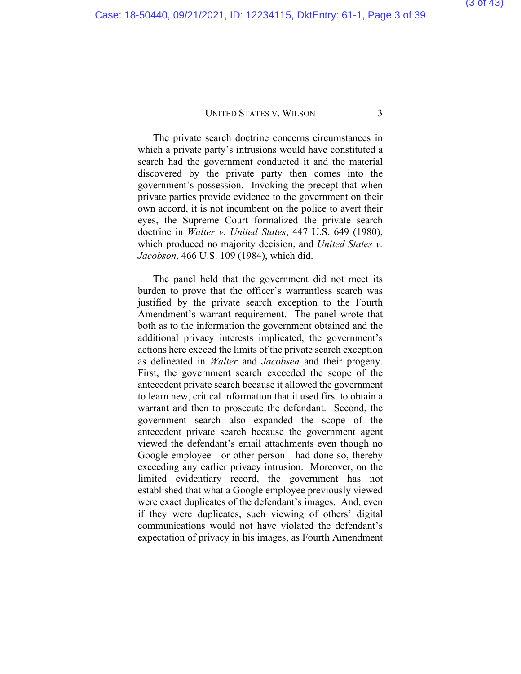The private search doctrine concerns circumstances in which a private party's intrusions would have constituted a search had the government conducted it and the material discovered by the private party then comes into the government's possession. Invoking the precept that when private parties provide evidence to the government on their own accord, it is not incumbent on the police to avert their eyes, the Supreme Court formalized the private search doctrine in *Walter v. United States*, 447 U.S. 649 (1980), which produced no majority decision, and *United States v. Jacobson*, 466 U.S. 109 (1984), which did.

The panel held that the government did not meet its burden to prove that the officer's warrantless search was justified by the private search exception to the Fourth Amendment's warrant requirement. The panel wrote that both as to the information the government obtained and the additional privacy interests implicated, the government's actions here exceed the limits of the private search exception as delineated in *Walter* and *Jacobsen* and their progeny. First, the government search exceeded the scope of the antecedent private search because it allowed the government to learn new, critical information that it used first to obtain a warrant and then to prosecute the defendant. Second, the government search also expanded the scope of the antecedent private search because the government agent viewed the defendant's email attachments even though no Google employee—or other person—had done so, thereby exceeding any earlier privacy intrusion. Moreover, on the limited evidentiary record, the government has not established that what a Google employee previously viewed were exact duplicates of the defendant's images. And, even if they were duplicates, such viewing of others' digital communications would not have violated the defendant's expectation of privacy in his images, as Fourth Amendment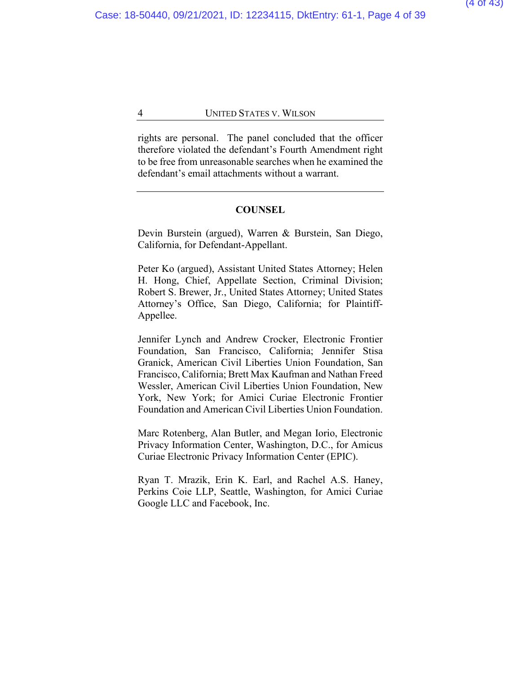rights are personal. The panel concluded that the officer therefore violated the defendant's Fourth Amendment right to be free from unreasonable searches when he examined the defendant's email attachments without a warrant.

## **COUNSEL**

Devin Burstein (argued), Warren & Burstein, San Diego, California, for Defendant-Appellant.

Peter Ko (argued), Assistant United States Attorney; Helen H. Hong, Chief, Appellate Section, Criminal Division; Robert S. Brewer, Jr., United States Attorney; United States Attorney's Office, San Diego, California; for Plaintiff-Appellee.

Jennifer Lynch and Andrew Crocker, Electronic Frontier Foundation, San Francisco, California; Jennifer Stisa Granick, American Civil Liberties Union Foundation, San Francisco, California; Brett Max Kaufman and Nathan Freed Wessler, American Civil Liberties Union Foundation, New York, New York; for Amici Curiae Electronic Frontier Foundation and American Civil Liberties Union Foundation.

Marc Rotenberg, Alan Butler, and Megan Iorio, Electronic Privacy Information Center, Washington, D.C., for Amicus Curiae Electronic Privacy Information Center (EPIC).

Ryan T. Mrazik, Erin K. Earl, and Rachel A.S. Haney, Perkins Coie LLP, Seattle, Washington, for Amici Curiae Google LLC and Facebook, Inc.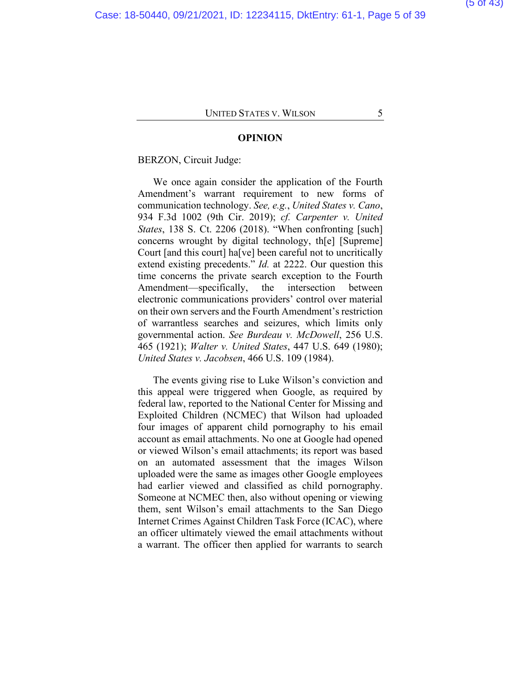#### **OPINION**

#### BERZON, Circuit Judge:

We once again consider the application of the Fourth Amendment's warrant requirement to new forms of communication technology. *See, e.g.*, *United States v. Cano*, 934 F.3d 1002 (9th Cir. 2019); *cf. Carpenter v. United States*, 138 S. Ct. 2206 (2018). "When confronting [such] concerns wrought by digital technology, th[e] [Supreme] Court [and this court] ha[ve] been careful not to uncritically extend existing precedents." *Id.* at 2222. Our question this time concerns the private search exception to the Fourth Amendment—specifically, the intersection between electronic communications providers' control over material on their own servers and the Fourth Amendment's restriction of warrantless searches and seizures, which limits only governmental action. *See Burdeau v. McDowell*, 256 U.S. 465 (1921); *Walter v. United States*, 447 U.S. 649 (1980); *United States v. Jacobsen*, 466 U.S. 109 (1984).

The events giving rise to Luke Wilson's conviction and this appeal were triggered when Google, as required by federal law, reported to the National Center for Missing and Exploited Children (NCMEC) that Wilson had uploaded four images of apparent child pornography to his email account as email attachments. No one at Google had opened or viewed Wilson's email attachments; its report was based on an automated assessment that the images Wilson uploaded were the same as images other Google employees had earlier viewed and classified as child pornography. Someone at NCMEC then, also without opening or viewing them, sent Wilson's email attachments to the San Diego Internet Crimes Against Children Task Force (ICAC), where an officer ultimately viewed the email attachments without a warrant. The officer then applied for warrants to search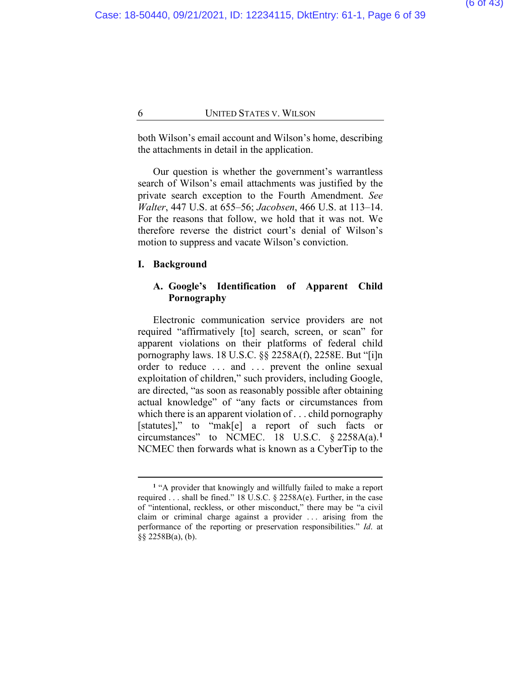both Wilson's email account and Wilson's home, describing the attachments in detail in the application.

Our question is whether the government's warrantless search of Wilson's email attachments was justified by the private search exception to the Fourth Amendment. *See Walter*, 447 U.S. at 655–56; *Jacobsen*, 466 U.S. at 113–14. For the reasons that follow, we hold that it was not. We therefore reverse the district court's denial of Wilson's motion to suppress and vacate Wilson's conviction.

#### **I. Background**

## **A. Google's Identification of Apparent Child Pornography**

Electronic communication service providers are not required "affirmatively [to] search, screen, or scan" for apparent violations on their platforms of federal child pornography laws. 18 U.S.C. §§ 2258A(f), 2258E. But "[i]n order to reduce ... and ... prevent the online sexual exploitation of children," such providers, including Google, are directed, "as soon as reasonably possible after obtaining actual knowledge" of "any facts or circumstances from which there is an apparent violation of . . . child pornography [statutes]," to "mak[e] a report of such facts or circumstances" to NCMEC. 18 U.S.C. § 2258A(a).**[1](#page-38-0)** NCMEC then forwards what is known as a CyberTip to the

**<sup>1</sup>** "A provider that knowingly and willfully failed to make a report required . . . shall be fined." 18 U.S.C. § 2258A(e). Further, in the case of "intentional, reckless, or other misconduct," there may be "a civil claim or criminal charge against a provider . . . arising from the performance of the reporting or preservation responsibilities." *Id*. at §§ 2258B(a), (b).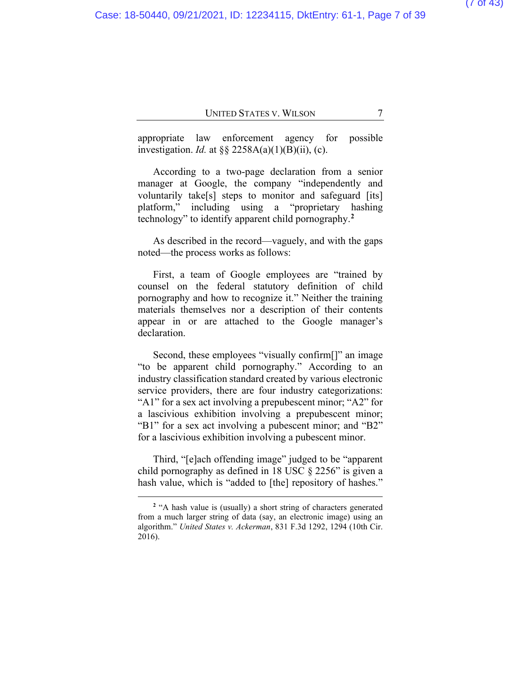appropriate law enforcement agency for possible investigation. *Id.* at §§ 2258A(a)(1)(B)(ii), (c).

According to a two-page declaration from a senior manager at Google, the company "independently and voluntarily take[s] steps to monitor and safeguard [its] platform," including using a "proprietary hashing technology" to identify apparent child pornography.**[2](#page-38-0)**

As described in the record—vaguely, and with the gaps noted—the process works as follows:

First, a team of Google employees are "trained by counsel on the federal statutory definition of child pornography and how to recognize it." Neither the training materials themselves nor a description of their contents appear in or are attached to the Google manager's declaration.

Second, these employees "visually confirm[]" an image "to be apparent child pornography." According to an industry classification standard created by various electronic service providers, there are four industry categorizations: "A1" for a sex act involving a prepubescent minor; "A2" for a lascivious exhibition involving a prepubescent minor; "B1" for a sex act involving a pubescent minor; and "B2" for a lascivious exhibition involving a pubescent minor.

Third, "[e]ach offending image" judged to be "apparent child pornography as defined in 18 USC § 2256" is given a hash value, which is "added to [the] repository of hashes."

<sup>&</sup>lt;sup>2</sup> "A hash value is (usually) a short string of characters generated from a much larger string of data (say, an electronic image) using an algorithm." *United States v. Ackerman*, 831 F.3d 1292, 1294 (10th Cir. 2016).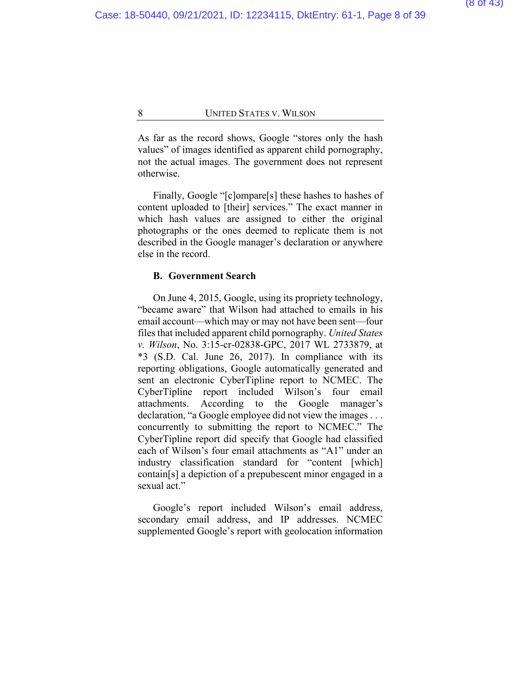As far as the record shows, Google "stores only the hash values" of images identified as apparent child pornography, not the actual images. The government does not represent otherwise.

Finally, Google "[c]ompare[s] these hashes to hashes of content uploaded to [their] services." The exact manner in which hash values are assigned to either the original photographs or the ones deemed to replicate them is not described in the Google manager's declaration or anywhere else in the record.

#### **B. Government Search**

On June 4, 2015, Google, using its propriety technology, "became aware" that Wilson had attached to emails in his email account—which may or may not have been sent—four files that included apparent child pornography. *United States v. Wilson*, No. 3:15-cr-02838-GPC, 2017 WL 2733879, at \*3 (S.D. Cal. June 26, 2017). In compliance with its reporting obligations, Google automatically generated and sent an electronic CyberTipline report to NCMEC. The CyberTipline report included Wilson's four email attachments. According to the Google manager's declaration, "a Google employee did not view the images . . . concurrently to submitting the report to NCMEC." The CyberTipline report did specify that Google had classified each of Wilson's four email attachments as "A1" under an industry classification standard for "content [which] contain[s] a depiction of a prepubescent minor engaged in a sexual act."

Google's report included Wilson's email address, secondary email address, and IP addresses. NCMEC supplemented Google's report with geolocation information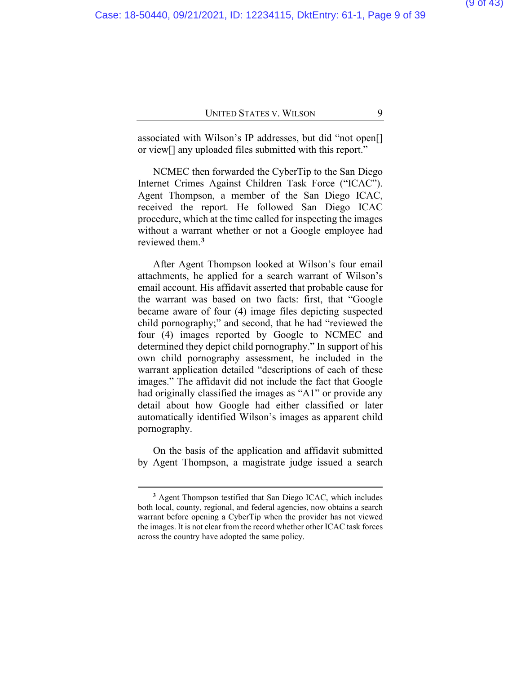associated with Wilson's IP addresses, but did "not open[] or view[] any uploaded files submitted with this report."

NCMEC then forwarded the CyberTip to the San Diego Internet Crimes Against Children Task Force ("ICAC"). Agent Thompson, a member of the San Diego ICAC, received the report. He followed San Diego ICAC procedure, which at the time called for inspecting the images without a warrant whether or not a Google employee had reviewed them.**[3](#page-38-0)**

After Agent Thompson looked at Wilson's four email attachments, he applied for a search warrant of Wilson's email account. His affidavit asserted that probable cause for the warrant was based on two facts: first, that "Google became aware of four (4) image files depicting suspected child pornography;" and second, that he had "reviewed the four (4) images reported by Google to NCMEC and determined they depict child pornography." In support of his own child pornography assessment, he included in the warrant application detailed "descriptions of each of these images." The affidavit did not include the fact that Google had originally classified the images as "A1" or provide any detail about how Google had either classified or later automatically identified Wilson's images as apparent child pornography.

On the basis of the application and affidavit submitted by Agent Thompson, a magistrate judge issued a search

**<sup>3</sup>** Agent Thompson testified that San Diego ICAC, which includes both local, county, regional, and federal agencies, now obtains a search warrant before opening a CyberTip when the provider has not viewed the images. It is not clear from the record whether other ICAC task forces across the country have adopted the same policy.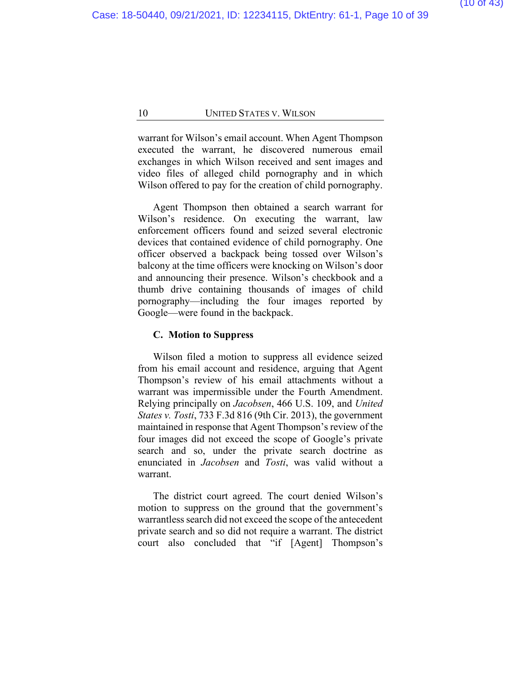warrant for Wilson's email account. When Agent Thompson executed the warrant, he discovered numerous email exchanges in which Wilson received and sent images and video files of alleged child pornography and in which Wilson offered to pay for the creation of child pornography.

Agent Thompson then obtained a search warrant for Wilson's residence. On executing the warrant, law enforcement officers found and seized several electronic devices that contained evidence of child pornography. One officer observed a backpack being tossed over Wilson's balcony at the time officers were knocking on Wilson's door and announcing their presence. Wilson's checkbook and a thumb drive containing thousands of images of child pornography—including the four images reported by Google—were found in the backpack.

#### **C. Motion to Suppress**

Wilson filed a motion to suppress all evidence seized from his email account and residence, arguing that Agent Thompson's review of his email attachments without a warrant was impermissible under the Fourth Amendment. Relying principally on *Jacobsen*, 466 U.S. 109, and *United States v. Tosti*, 733 F.3d 816 (9th Cir. 2013), the government maintained in response that Agent Thompson's review of the four images did not exceed the scope of Google's private search and so, under the private search doctrine as enunciated in *Jacobsen* and *Tosti*, was valid without a warrant.

The district court agreed. The court denied Wilson's motion to suppress on the ground that the government's warrantless search did not exceed the scope of the antecedent private search and so did not require a warrant. The district court also concluded that "if [Agent] Thompson's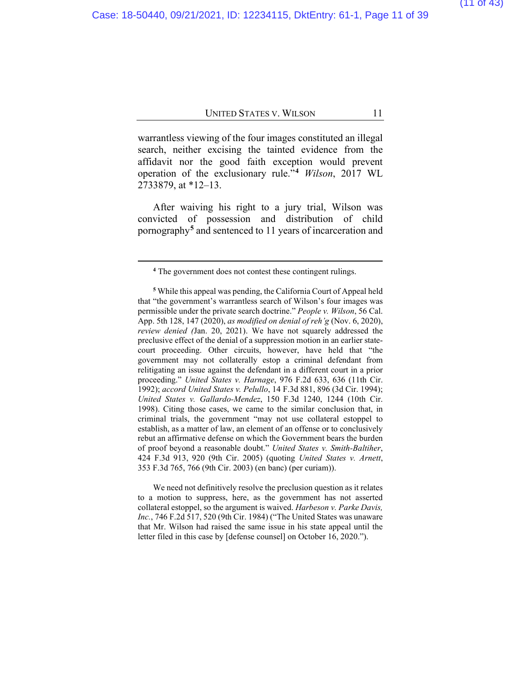warrantless viewing of the four images constituted an illegal search, neither excising the tainted evidence from the affidavit nor the good faith exception would prevent operation of the exclusionary rule."**[4](#page-38-0)** *Wilson*, 2017 WL 2733879, at \*12–13.

After waiving his right to a jury trial, Wilson was convicted of possession and distribution of child pornography**[5](#page-38-0)** and sentenced to 11 years of incarceration and

We need not definitively resolve the preclusion question as it relates to a motion to suppress, here, as the government has not asserted collateral estoppel, so the argument is waived. *Harbeson v. Parke Davis, Inc.*, 746 F.2d 517, 520 (9th Cir. 1984) ("The United States was unaware that Mr. Wilson had raised the same issue in his state appeal until the letter filed in this case by [defense counsel] on October 16, 2020.").

**<sup>4</sup>** The government does not contest these contingent rulings.

**<sup>5</sup>** While this appeal was pending, the California Court of Appeal held that "the government's warrantless search of Wilson's four images was permissible under the private search doctrine." *People v. Wilson*, 56 Cal. App. 5th 128, 147 (2020), *as modified on denial of reh'g* (Nov. 6, 2020), *review denied (*Jan. 20, 2021). We have not squarely addressed the preclusive effect of the denial of a suppression motion in an earlier statecourt proceeding. Other circuits, however, have held that "the government may not collaterally estop a criminal defendant from relitigating an issue against the defendant in a different court in a prior proceeding." *United States v. Harnage*, 976 F.2d 633, 636 (11th Cir. 1992); *accord United States v. Pelullo*, 14 F.3d 881, 896 (3d Cir. 1994); *United States v. Gallardo-Mendez*, 150 F.3d 1240, 1244 (10th Cir. 1998). Citing those cases, we came to the similar conclusion that, in criminal trials, the government "may not use collateral estoppel to establish, as a matter of law, an element of an offense or to conclusively rebut an affirmative defense on which the Government bears the burden of proof beyond a reasonable doubt." *United States v. Smith-Baltiher*, 424 F.3d 913, 920 (9th Cir. 2005) (quoting *United States v. Arnett*, 353 F.3d 765, 766 (9th Cir. 2003) (en banc) (per curiam)).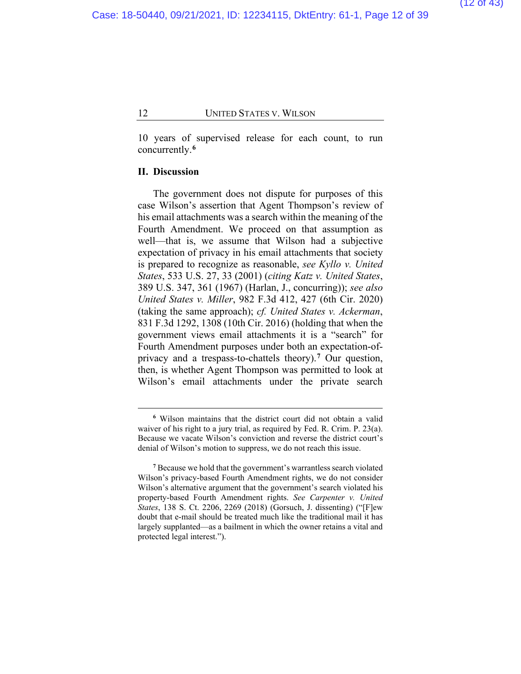10 years of supervised release for each count, to run concurrently.**[6](#page-38-0)**

### **II. Discussion**

The government does not dispute for purposes of this case Wilson's assertion that Agent Thompson's review of his email attachments was a search within the meaning of the Fourth Amendment. We proceed on that assumption as well—that is, we assume that Wilson had a subjective expectation of privacy in his email attachments that society is prepared to recognize as reasonable, *see Kyllo v. United States*, 533 U.S. 27, 33 (2001) (*citing Katz v. United States*, 389 U.S. 347, 361 (1967) (Harlan, J., concurring)); *see also United States v. Miller*, 982 F.3d 412, 427 (6th Cir. 2020) (taking the same approach); *cf. United States v. Ackerman*, 831 F.3d 1292, 1308 (10th Cir. 2016) (holding that when the government views email attachments it is a "search" for Fourth Amendment purposes under both an expectation-ofprivacy and a trespass-to-chattels theory).**[7](#page-38-0)** Our question, then, is whether Agent Thompson was permitted to look at Wilson's email attachments under the private search

**<sup>6</sup>** Wilson maintains that the district court did not obtain a valid waiver of his right to a jury trial, as required by Fed. R. Crim. P. 23(a). Because we vacate Wilson's conviction and reverse the district court's denial of Wilson's motion to suppress, we do not reach this issue.

**<sup>7</sup>** Because we hold that the government's warrantless search violated Wilson's privacy-based Fourth Amendment rights, we do not consider Wilson's alternative argument that the government's search violated his property-based Fourth Amendment rights. *See Carpenter v. United States*, 138 S. Ct. 2206, 2269 (2018) (Gorsuch, J. dissenting) ("[F]ew doubt that e-mail should be treated much like the traditional mail it has largely supplanted—as a bailment in which the owner retains a vital and protected legal interest.").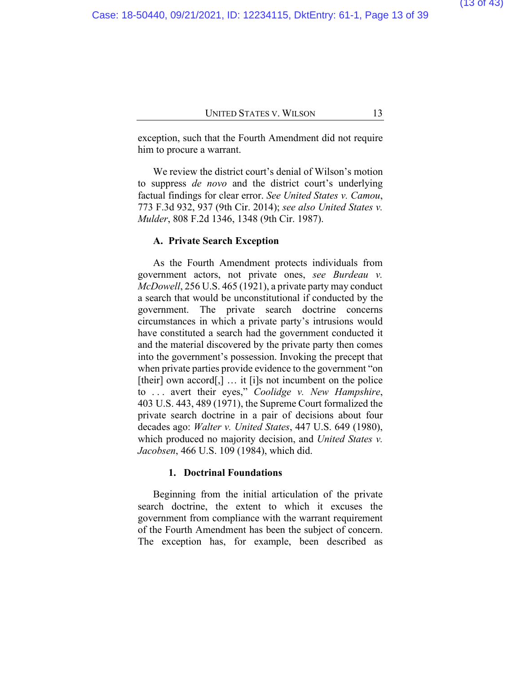exception, such that the Fourth Amendment did not require him to procure a warrant.

We review the district court's denial of Wilson's motion to suppress *de novo* and the district court's underlying factual findings for clear error. *See United States v. Camou*, 773 F.3d 932, 937 (9th Cir. 2014); *see also United States v. Mulder*, 808 F.2d 1346, 1348 (9th Cir. 1987).

#### **A. Private Search Exception**

As the Fourth Amendment protects individuals from government actors, not private ones, *see Burdeau v. McDowell*, 256 U.S. 465 (1921), a private party may conduct a search that would be unconstitutional if conducted by the government. The private search doctrine concerns circumstances in which a private party's intrusions would have constituted a search had the government conducted it and the material discovered by the private party then comes into the government's possession. Invoking the precept that when private parties provide evidence to the government "on [their] own accord[,]  $\ldots$  it [i]s not incumbent on the police to . . . avert their eyes," *Coolidge v. New Hampshire*, 403 U.S. 443, 489 (1971), the Supreme Court formalized the private search doctrine in a pair of decisions about four decades ago: *Walter v. United States*, 447 U.S. 649 (1980), which produced no majority decision, and *United States v. Jacobsen*, 466 U.S. 109 (1984), which did.

### **1. Doctrinal Foundations**

Beginning from the initial articulation of the private search doctrine, the extent to which it excuses the government from compliance with the warrant requirement of the Fourth Amendment has been the subject of concern. The exception has, for example, been described as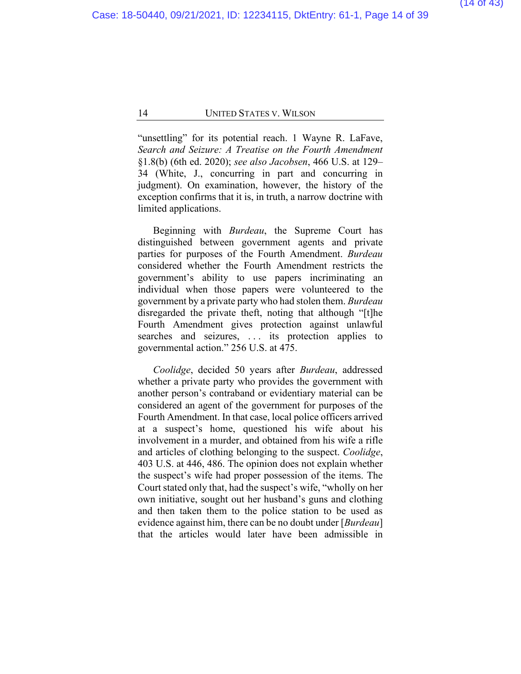"unsettling" for its potential reach. 1 Wayne R. LaFave, *Search and Seizure: A Treatise on the Fourth Amendment*  §1.8(b) (6th ed. 2020); *see also Jacobsen*, 466 U.S. at 129– 34 (White, J., concurring in part and concurring in judgment). On examination, however, the history of the exception confirms that it is, in truth, a narrow doctrine with limited applications.

Beginning with *Burdeau*, the Supreme Court has distinguished between government agents and private parties for purposes of the Fourth Amendment. *Burdeau*  considered whether the Fourth Amendment restricts the government's ability to use papers incriminating an individual when those papers were volunteered to the government by a private party who had stolen them. *Burdeau* disregarded the private theft, noting that although "[t]he Fourth Amendment gives protection against unlawful searches and seizures, ... its protection applies to governmental action." 256 U.S. at 475.

*Coolidge*, decided 50 years after *Burdeau*, addressed whether a private party who provides the government with another person's contraband or evidentiary material can be considered an agent of the government for purposes of the Fourth Amendment. In that case, local police officers arrived at a suspect's home, questioned his wife about his involvement in a murder, and obtained from his wife a rifle and articles of clothing belonging to the suspect. *Coolidge*, 403 U.S. at 446, 486. The opinion does not explain whether the suspect's wife had proper possession of the items. The Court stated only that, had the suspect's wife, "wholly on her own initiative, sought out her husband's guns and clothing and then taken them to the police station to be used as evidence against him, there can be no doubt under [*Burdeau*] that the articles would later have been admissible in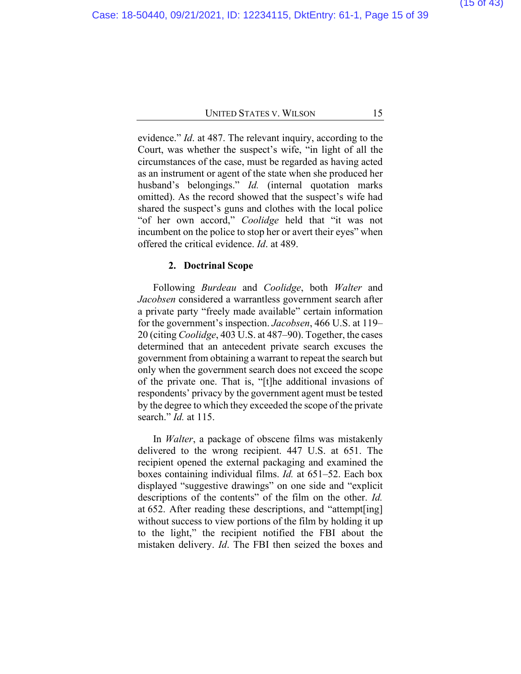evidence." *Id*. at 487. The relevant inquiry, according to the Court, was whether the suspect's wife, "in light of all the circumstances of the case, must be regarded as having acted as an instrument or agent of the state when she produced her husband's belongings." *Id.* (internal quotation marks omitted). As the record showed that the suspect's wife had shared the suspect's guns and clothes with the local police "of her own accord," *Coolidge* held that "it was not incumbent on the police to stop her or avert their eyes" when offered the critical evidence. *Id*. at 489.

### **2. Doctrinal Scope**

Following *Burdeau* and *Coolidge*, both *Walter* and *Jacobsen* considered a warrantless government search after a private party "freely made available" certain information for the government's inspection. *Jacobsen*, 466 U.S. at 119– 20 (citing *Coolidge*, 403 U.S. at 487–90). Together, the cases determined that an antecedent private search excuses the government from obtaining a warrant to repeat the search but only when the government search does not exceed the scope of the private one. That is, "[t]he additional invasions of respondents' privacy by the government agent must be tested by the degree to which they exceeded the scope of the private search." *Id.* at 115.

In *Walter*, a package of obscene films was mistakenly delivered to the wrong recipient. 447 U.S. at 651. The recipient opened the external packaging and examined the boxes containing individual films. *Id.* at 651–52. Each box displayed "suggestive drawings" on one side and "explicit descriptions of the contents" of the film on the other. *Id.* at 652. After reading these descriptions, and "attempt[ing] without success to view portions of the film by holding it up to the light," the recipient notified the FBI about the mistaken delivery. *Id*. The FBI then seized the boxes and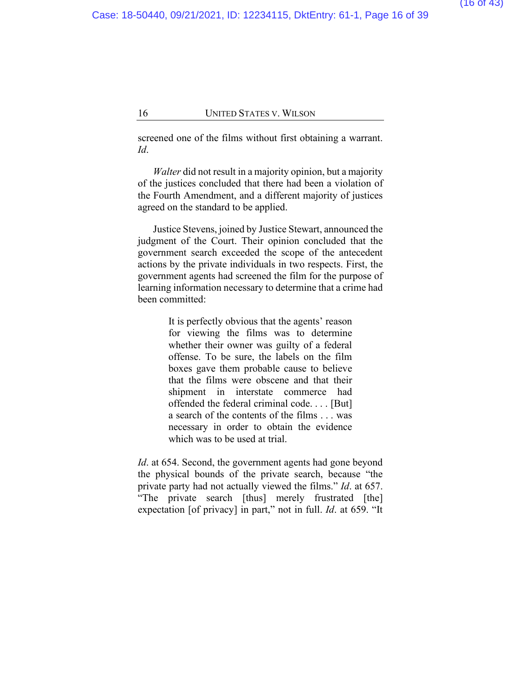screened one of the films without first obtaining a warrant. *Id*.

*Walter* did not result in a majority opinion, but a majority of the justices concluded that there had been a violation of the Fourth Amendment, and a different majority of justices agreed on the standard to be applied.

Justice Stevens, joined by Justice Stewart, announced the judgment of the Court. Their opinion concluded that the government search exceeded the scope of the antecedent actions by the private individuals in two respects. First, the government agents had screened the film for the purpose of learning information necessary to determine that a crime had been committed:

> It is perfectly obvious that the agents' reason for viewing the films was to determine whether their owner was guilty of a federal offense. To be sure, the labels on the film boxes gave them probable cause to believe that the films were obscene and that their shipment in interstate commerce had offended the federal criminal code. . . . [But] a search of the contents of the films . . . was necessary in order to obtain the evidence which was to be used at trial.

*Id*. at 654. Second, the government agents had gone beyond the physical bounds of the private search, because "the private party had not actually viewed the films." *Id*. at 657. "The private search [thus] merely frustrated [the] expectation [of privacy] in part," not in full. *Id*. at 659. "It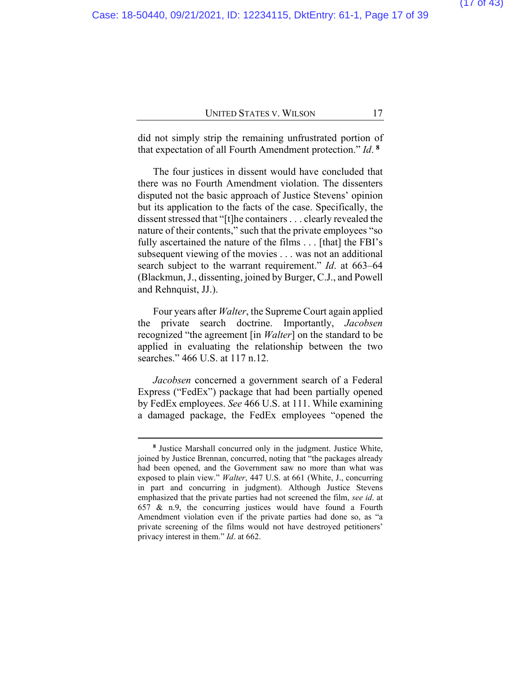did not simply strip the remaining unfrustrated portion of that expectation of all Fourth Amendment protection." *Id*. **[8](#page-38-0)**

The four justices in dissent would have concluded that there was no Fourth Amendment violation. The dissenters disputed not the basic approach of Justice Stevens' opinion but its application to the facts of the case. Specifically, the dissent stressed that "[t]he containers. . . clearly revealed the nature of their contents," such that the private employees "so fully ascertained the nature of the films . . . [that] the FBI's subsequent viewing of the movies . . . was not an additional search subject to the warrant requirement." *Id*. at 663–64 (Blackmun, J., dissenting, joined by Burger, C.J., and Powell and Rehnquist, JJ.).

Four years after *Walter*, the Supreme Court again applied the private search doctrine. Importantly, *Jacobsen*  recognized "the agreement [in *Walter*] on the standard to be applied in evaluating the relationship between the two searches." 466 U.S. at 117 n.12.

*Jacobsen* concerned a government search of a Federal Express ("FedEx") package that had been partially opened by FedEx employees. *See* 466 U.S. at 111. While examining a damaged package, the FedEx employees "opened the

**<sup>8</sup>** Justice Marshall concurred only in the judgment. Justice White, joined by Justice Brennan, concurred, noting that "the packages already had been opened, and the Government saw no more than what was exposed to plain view." *Walter*, 447 U.S. at 661 (White, J., concurring in part and concurring in judgment). Although Justice Stevens emphasized that the private parties had not screened the film, *see id*. at 657 & n.9, the concurring justices would have found a Fourth Amendment violation even if the private parties had done so, as "a private screening of the films would not have destroyed petitioners' privacy interest in them." *Id*. at 662.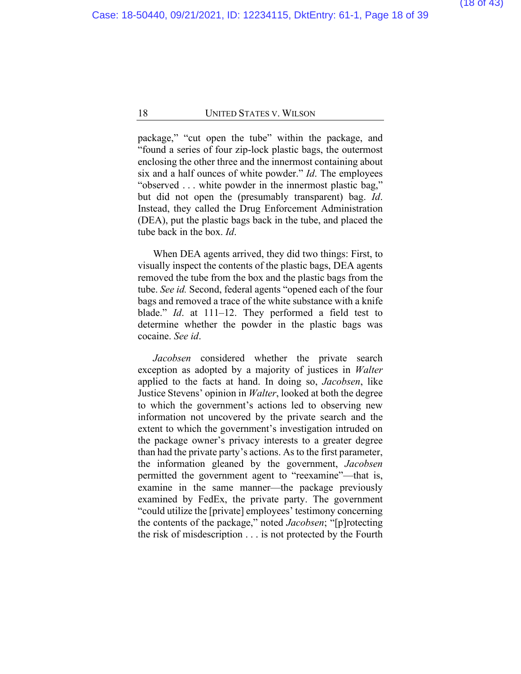package," "cut open the tube" within the package, and "found a series of four zip-lock plastic bags, the outermost enclosing the other three and the innermost containing about six and a half ounces of white powder." *Id*. The employees "observed . . . white powder in the innermost plastic bag," but did not open the (presumably transparent) bag. *Id*. Instead, they called the Drug Enforcement Administration (DEA), put the plastic bags back in the tube, and placed the tube back in the box. *Id*.

When DEA agents arrived, they did two things: First, to visually inspect the contents of the plastic bags, DEA agents removed the tube from the box and the plastic bags from the tube. *See id.* Second, federal agents "opened each of the four bags and removed a trace of the white substance with a knife blade." *Id*. at 111–12. They performed a field test to determine whether the powder in the plastic bags was cocaine. *See id*.

*Jacobsen* considered whether the private search exception as adopted by a majority of justices in *Walter* applied to the facts at hand. In doing so, *Jacobsen*, like Justice Stevens' opinion in *Walter*, looked at both the degree to which the government's actions led to observing new information not uncovered by the private search and the extent to which the government's investigation intruded on the package owner's privacy interests to a greater degree than had the private party's actions. As to the first parameter, the information gleaned by the government, *Jacobsen* permitted the government agent to "reexamine"—that is, examine in the same manner—the package previously examined by FedEx, the private party. The government "could utilize the [private] employees' testimony concerning the contents of the package," noted *Jacobsen*; "[p]rotecting the risk of misdescription . . . is not protected by the Fourth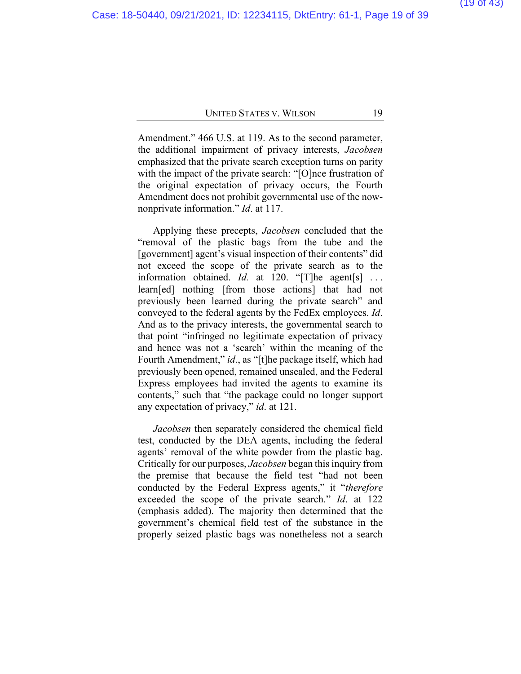Amendment." 466 U.S. at 119. As to the second parameter, the additional impairment of privacy interests, *Jacobsen*  emphasized that the private search exception turns on parity with the impact of the private search: "[O]nce frustration of the original expectation of privacy occurs, the Fourth Amendment does not prohibit governmental use of the nownonprivate information." *Id*. at 117.

Applying these precepts, *Jacobsen* concluded that the "removal of the plastic bags from the tube and the [government] agent's visual inspection of their contents" did not exceed the scope of the private search as to the information obtained. *Id.* at 120. "[T]he agent[s] ... learn[ed] nothing [from those actions] that had not previously been learned during the private search" and conveyed to the federal agents by the FedEx employees. *Id*. And as to the privacy interests, the governmental search to that point "infringed no legitimate expectation of privacy and hence was not a 'search' within the meaning of the Fourth Amendment," *id*., as "[t]he package itself, which had previously been opened, remained unsealed, and the Federal Express employees had invited the agents to examine its contents," such that "the package could no longer support any expectation of privacy," *id*. at 121.

*Jacobsen* then separately considered the chemical field test, conducted by the DEA agents, including the federal agents' removal of the white powder from the plastic bag. Critically for our purposes, *Jacobsen* began this inquiry from the premise that because the field test "had not been conducted by the Federal Express agents," it "*therefore*  exceeded the scope of the private search." *Id*. at 122 (emphasis added). The majority then determined that the government's chemical field test of the substance in the properly seized plastic bags was nonetheless not a search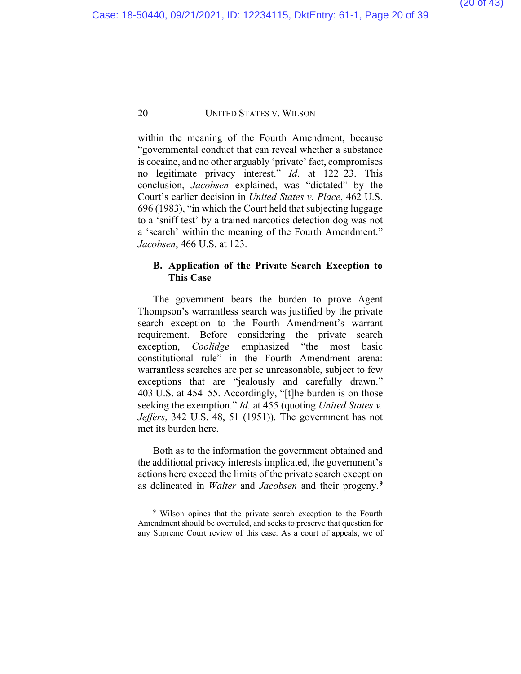within the meaning of the Fourth Amendment, because "governmental conduct that can reveal whether a substance is cocaine, and no other arguably 'private' fact, compromises no legitimate privacy interest." *Id*. at 122–23. This conclusion, *Jacobsen* explained, was "dictated" by the Court's earlier decision in *United States v. Place*, 462 U.S. 696 (1983), "in which the Court held that subjecting luggage to a 'sniff test' by a trained narcotics detection dog was not a 'search' within the meaning of the Fourth Amendment." *Jacobsen*, 466 U.S. at 123.

### **B. Application of the Private Search Exception to This Case**

The government bears the burden to prove Agent Thompson's warrantless search was justified by the private search exception to the Fourth Amendment's warrant requirement. Before considering the private search exception, *Coolidge* emphasized "the most basic constitutional rule" in the Fourth Amendment arena: warrantless searches are per se unreasonable, subject to few exceptions that are "jealously and carefully drawn." 403 U.S. at 454–55. Accordingly, "[t]he burden is on those seeking the exemption." *Id.* at 455 (quoting *United States v. Jeffers*, 342 U.S. 48, 51 (1951)). The government has not met its burden here.

Both as to the information the government obtained and the additional privacy interests implicated, the government's actions here exceed the limits of the private search exception as delineated in *Walter* and *Jacobsen* and their progeny.**[9](#page-38-0)**

**<sup>9</sup>** Wilson opines that the private search exception to the Fourth Amendment should be overruled, and seeks to preserve that question for any Supreme Court review of this case. As a court of appeals, we of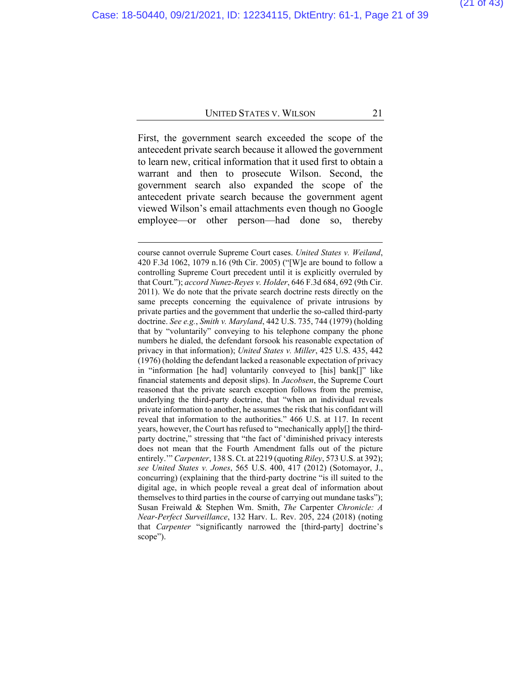First, the government search exceeded the scope of the antecedent private search because it allowed the government to learn new, critical information that it used first to obtain a warrant and then to prosecute Wilson. Second, the government search also expanded the scope of the antecedent private search because the government agent viewed Wilson's email attachments even though no Google employee—or other person—had done so, thereby

course cannot overrule Supreme Court cases. *United States v. Weiland*, 420 F.3d 1062, 1079 n.16 (9th Cir. 2005) ("[W]e are bound to follow a controlling Supreme Court precedent until it is explicitly overruled by that Court."); *accord Nunez-Reyes v. Holder*, 646 F.3d 684, 692 (9th Cir. 2011). We do note that the private search doctrine rests directly on the same precepts concerning the equivalence of private intrusions by private parties and the government that underlie the so-called third-party doctrine. *See e.g.*, *Smith v. Maryland*, 442 U.S. 735, 744 (1979) (holding that by "voluntarily" conveying to his telephone company the phone numbers he dialed, the defendant forsook his reasonable expectation of privacy in that information); *United States v. Miller*, 425 U.S. 435, 442 (1976) (holding the defendant lacked a reasonable expectation of privacy in "information [he had] voluntarily conveyed to [his] bank[]" like financial statements and deposit slips). In *Jacobsen*, the Supreme Court reasoned that the private search exception follows from the premise, underlying the third-party doctrine, that "when an individual reveals private information to another, he assumes the risk that his confidant will reveal that information to the authorities." 466 U.S. at 117. In recent years, however, the Court has refused to "mechanically apply[] the thirdparty doctrine," stressing that "the fact of 'diminished privacy interests does not mean that the Fourth Amendment falls out of the picture entirely.'" *Carpenter*, 138 S. Ct. at 2219 (quoting *Riley*, 573 U.S. at 392); *see United States v. Jones*, 565 U.S. 400, 417 (2012) (Sotomayor, J., concurring) (explaining that the third-party doctrine "is ill suited to the digital age, in which people reveal a great deal of information about themselves to third parties in the course of carrying out mundane tasks"); Susan Freiwald & Stephen Wm. Smith, *The* Carpenter *Chronicle: A Near-Perfect Surveillance*, 132 Harv. L. Rev. 205, 224 (2018) (noting that *Carpenter* "significantly narrowed the [third-party] doctrine's scope").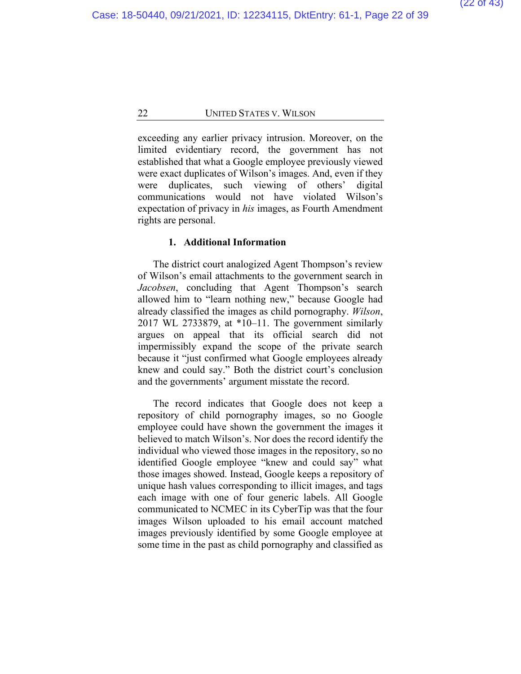exceeding any earlier privacy intrusion. Moreover, on the limited evidentiary record, the government has not established that what a Google employee previously viewed were exact duplicates of Wilson's images. And, even if they were duplicates, such viewing of others' digital communications would not have violated Wilson's expectation of privacy in *his* images, as Fourth Amendment rights are personal.

#### **1. Additional Information**

The district court analogized Agent Thompson's review of Wilson's email attachments to the government search in *Jacobsen*, concluding that Agent Thompson's search allowed him to "learn nothing new," because Google had already classified the images as child pornography. *Wilson*, 2017 WL 2733879, at \*10–11. The government similarly argues on appeal that its official search did not impermissibly expand the scope of the private search because it "just confirmed what Google employees already knew and could say." Both the district court's conclusion and the governments' argument misstate the record.

The record indicates that Google does not keep a repository of child pornography images, so no Google employee could have shown the government the images it believed to match Wilson's. Nor does the record identify the individual who viewed those images in the repository, so no identified Google employee "knew and could say" what those images showed. Instead, Google keeps a repository of unique hash values corresponding to illicit images, and tags each image with one of four generic labels. All Google communicated to NCMEC in its CyberTip was that the four images Wilson uploaded to his email account matched images previously identified by some Google employee at some time in the past as child pornography and classified as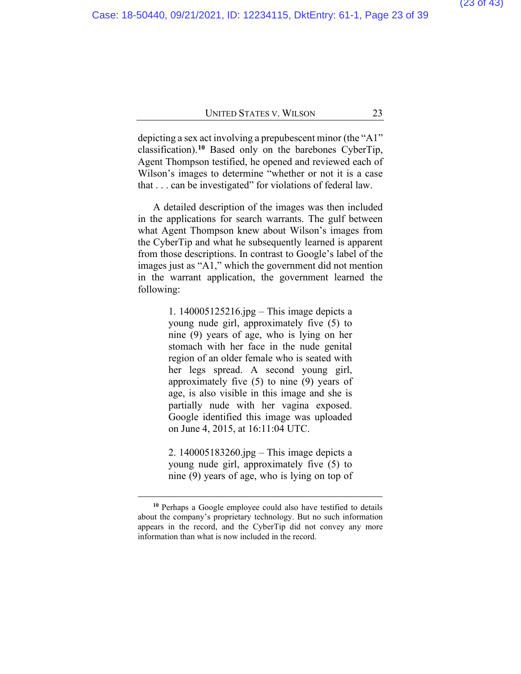depicting a sex act involving a prepubescent minor (the "A1" classification).**[10](#page-38-0)** Based only on the barebones CyberTip, Agent Thompson testified, he opened and reviewed each of Wilson's images to determine "whether or not it is a case that . . . can be investigated" for violations of federal law.

A detailed description of the images was then included in the applications for search warrants. The gulf between what Agent Thompson knew about Wilson's images from the CyberTip and what he subsequently learned is apparent from those descriptions. In contrast to Google's label of the images just as "A1," which the government did not mention in the warrant application, the government learned the following:

> 1. 140005125216.jpg – This image depicts a young nude girl, approximately five (5) to nine (9) years of age, who is lying on her stomach with her face in the nude genital region of an older female who is seated with her legs spread. A second young girl, approximately five (5) to nine (9) years of age, is also visible in this image and she is partially nude with her vagina exposed. Google identified this image was uploaded on June 4, 2015, at 16:11:04 UTC.

> 2. 140005183260.jpg – This image depicts a young nude girl, approximately five (5) to nine (9) years of age, who is lying on top of

**<sup>10</sup>** Perhaps a Google employee could also have testified to details about the company's proprietary technology. But no such information appears in the record, and the CyberTip did not convey any more information than what is now included in the record.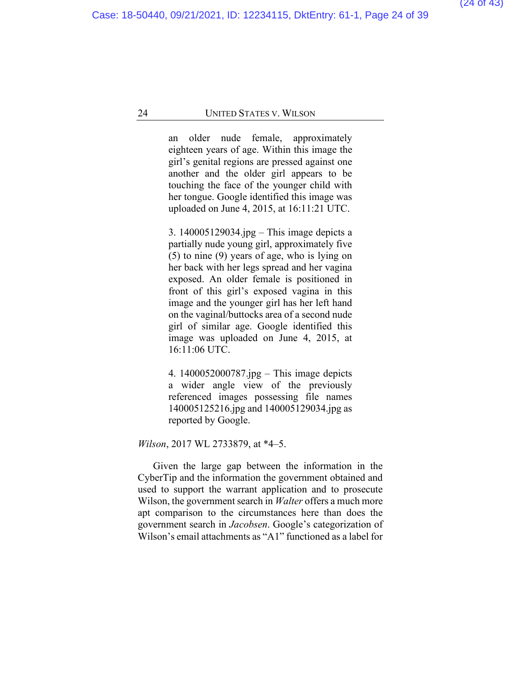an older nude female, approximately eighteen years of age. Within this image the girl's genital regions are pressed against one another and the older girl appears to be touching the face of the younger child with her tongue. Google identified this image was uploaded on June 4, 2015, at 16:11:21 UTC.

3. 140005129034.jpg – This image depicts a partially nude young girl, approximately five (5) to nine (9) years of age, who is lying on her back with her legs spread and her vagina exposed. An older female is positioned in front of this girl's exposed vagina in this image and the younger girl has her left hand on the vaginal/buttocks area of a second nude girl of similar age. Google identified this image was uploaded on June 4, 2015, at 16:11:06 UTC.

4. 1400052000787.jpg – This image depicts a wider angle view of the previously referenced images possessing file names 140005125216.jpg and 140005129034.jpg as reported by Google.

*Wilson*, 2017 WL 2733879, at \*4–5.

Given the large gap between the information in the CyberTip and the information the government obtained and used to support the warrant application and to prosecute Wilson, the government search in *Walter* offers a much more apt comparison to the circumstances here than does the government search in *Jacobsen*. Google's categorization of Wilson's email attachments as "A1" functioned as a label for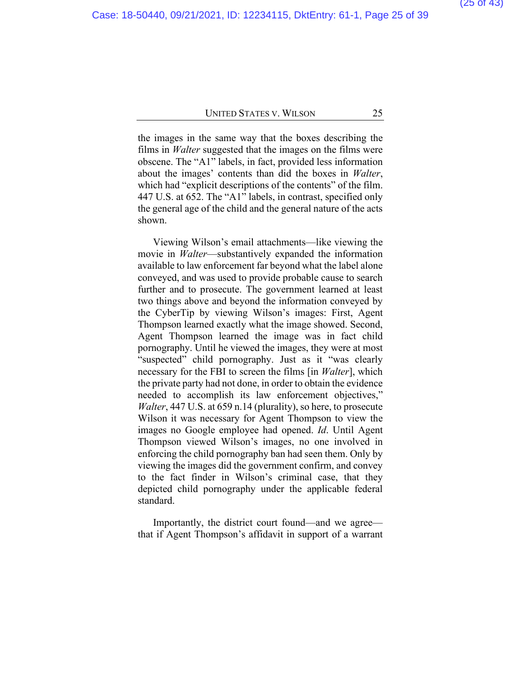the images in the same way that the boxes describing the films in *Walter* suggested that the images on the films were obscene. The "A1" labels, in fact, provided less information about the images' contents than did the boxes in *Walter*, which had "explicit descriptions of the contents" of the film. 447 U.S. at 652. The "A1" labels, in contrast, specified only the general age of the child and the general nature of the acts shown.

Viewing Wilson's email attachments—like viewing the movie in *Walter*—substantively expanded the information available to law enforcement far beyond what the label alone conveyed, and was used to provide probable cause to search further and to prosecute. The government learned at least two things above and beyond the information conveyed by the CyberTip by viewing Wilson's images: First, Agent Thompson learned exactly what the image showed. Second, Agent Thompson learned the image was in fact child pornography. Until he viewed the images, they were at most "suspected" child pornography. Just as it "was clearly necessary for the FBI to screen the films [in *Walter*], which the private party had not done, in order to obtain the evidence needed to accomplish its law enforcement objectives," *Walter*, 447 U.S. at 659 n.14 (plurality), so here, to prosecute Wilson it was necessary for Agent Thompson to view the images no Google employee had opened. *Id*. Until Agent Thompson viewed Wilson's images, no one involved in enforcing the child pornography ban had seen them. Only by viewing the images did the government confirm, and convey to the fact finder in Wilson's criminal case, that they depicted child pornography under the applicable federal standard.

Importantly, the district court found—and we agree that if Agent Thompson's affidavit in support of a warrant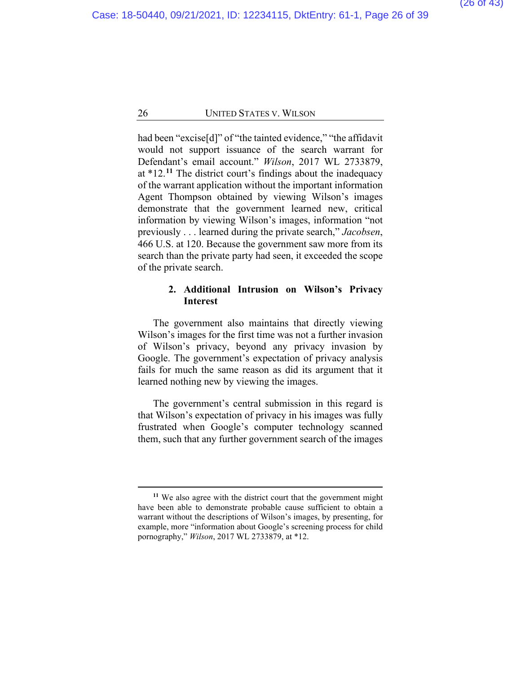had been "excise[d]" of "the tainted evidence," "the affidavit would not support issuance of the search warrant for Defendant's email account." *Wilson*, 2017 WL 2733879, at \*12.**[11](#page-38-0)** The district court's findings about the inadequacy of the warrant application without the important information Agent Thompson obtained by viewing Wilson's images demonstrate that the government learned new, critical information by viewing Wilson's images, information "not previously . . . learned during the private search," *Jacobsen*, 466 U.S. at 120. Because the government saw more from its search than the private party had seen, it exceeded the scope of the private search.

### **2. Additional Intrusion on Wilson's Privacy Interest**

The government also maintains that directly viewing Wilson's images for the first time was not a further invasion of Wilson's privacy, beyond any privacy invasion by Google. The government's expectation of privacy analysis fails for much the same reason as did its argument that it learned nothing new by viewing the images.

The government's central submission in this regard is that Wilson's expectation of privacy in his images was fully frustrated when Google's computer technology scanned them, such that any further government search of the images

**<sup>11</sup>** We also agree with the district court that the government might have been able to demonstrate probable cause sufficient to obtain a warrant without the descriptions of Wilson's images, by presenting, for example, more "information about Google's screening process for child pornography," *Wilson*, 2017 WL 2733879, at \*12.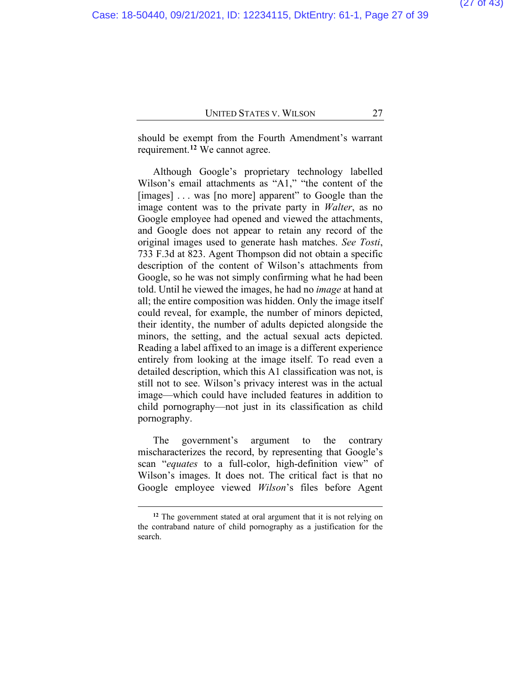should be exempt from the Fourth Amendment's warrant requirement.**[12](#page-38-0)** We cannot agree.

Although Google's proprietary technology labelled Wilson's email attachments as "A1," "the content of the [images] . . . was [no more] apparent" to Google than the image content was to the private party in *Walter*, as no Google employee had opened and viewed the attachments, and Google does not appear to retain any record of the original images used to generate hash matches. *See Tosti*, 733 F.3d at 823. Agent Thompson did not obtain a specific description of the content of Wilson's attachments from Google, so he was not simply confirming what he had been told. Until he viewed the images, he had no *image* at hand at all; the entire composition was hidden. Only the image itself could reveal, for example, the number of minors depicted, their identity, the number of adults depicted alongside the minors, the setting, and the actual sexual acts depicted. Reading a label affixed to an image is a different experience entirely from looking at the image itself. To read even a detailed description, which this A1 classification was not, is still not to see. Wilson's privacy interest was in the actual image—which could have included features in addition to child pornography—not just in its classification as child pornography.

The government's argument to the contrary mischaracterizes the record, by representing that Google's scan "*equates* to a full-color, high-definition view" of Wilson's images. It does not. The critical fact is that no Google employee viewed *Wilson*'s files before Agent

**<sup>12</sup>** The government stated at oral argument that it is not relying on the contraband nature of child pornography as a justification for the search.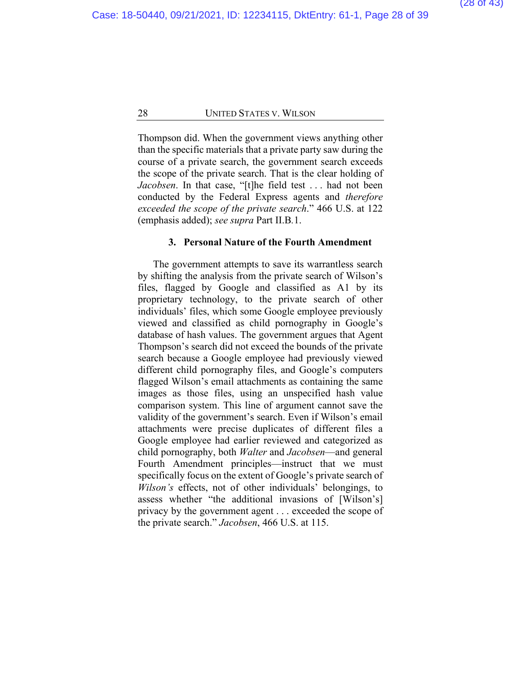Thompson did. When the government views anything other than the specific materials that a private party saw during the course of a private search, the government search exceeds the scope of the private search. That is the clear holding of *Jacobsen*. In that case, "[t]he field test . . . had not been conducted by the Federal Express agents and *therefore exceeded the scope of the private search*." 466 U.S. at 122 (emphasis added); *see supra* Part II.B*.*1.

#### **3. Personal Nature of the Fourth Amendment**

The government attempts to save its warrantless search by shifting the analysis from the private search of Wilson's files, flagged by Google and classified as A1 by its proprietary technology, to the private search of other individuals' files, which some Google employee previously viewed and classified as child pornography in Google's database of hash values. The government argues that Agent Thompson's search did not exceed the bounds of the private search because a Google employee had previously viewed different child pornography files, and Google's computers flagged Wilson's email attachments as containing the same images as those files, using an unspecified hash value comparison system. This line of argument cannot save the validity of the government's search. Even if Wilson's email attachments were precise duplicates of different files a Google employee had earlier reviewed and categorized as child pornography, both *Walter* and *Jacobsen*—and general Fourth Amendment principles—instruct that we must specifically focus on the extent of Google's private search of *Wilson's* effects, not of other individuals' belongings, to assess whether "the additional invasions of [Wilson's] privacy by the government agent . . . exceeded the scope of the private search." *Jacobsen*, 466 U.S. at 115.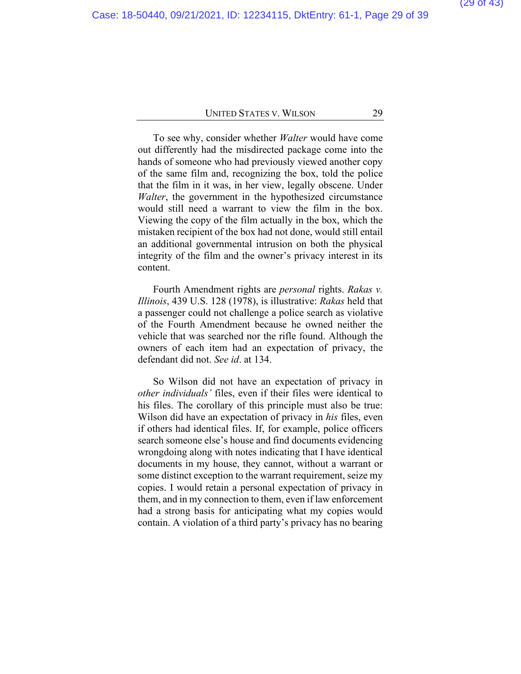To see why, consider whether *Walter* would have come out differently had the misdirected package come into the hands of someone who had previously viewed another copy of the same film and, recognizing the box, told the police that the film in it was, in her view, legally obscene. Under *Walter*, the government in the hypothesized circumstance would still need a warrant to view the film in the box. Viewing the copy of the film actually in the box, which the mistaken recipient of the box had not done, would still entail an additional governmental intrusion on both the physical integrity of the film and the owner's privacy interest in its content.

Fourth Amendment rights are *personal* rights. *Rakas v. Illinois*, 439 U.S. 128 (1978), is illustrative: *Rakas* held that a passenger could not challenge a police search as violative of the Fourth Amendment because he owned neither the vehicle that was searched nor the rifle found. Although the owners of each item had an expectation of privacy, the defendant did not. *See id*. at 134.

So Wilson did not have an expectation of privacy in *other individuals'* files, even if their files were identical to his files. The corollary of this principle must also be true: Wilson did have an expectation of privacy in *his* files, even if others had identical files. If, for example, police officers search someone else's house and find documents evidencing wrongdoing along with notes indicating that I have identical documents in my house, they cannot, without a warrant or some distinct exception to the warrant requirement, seize my copies. I would retain a personal expectation of privacy in them, and in my connection to them, even if law enforcement had a strong basis for anticipating what my copies would contain. A violation of a third party's privacy has no bearing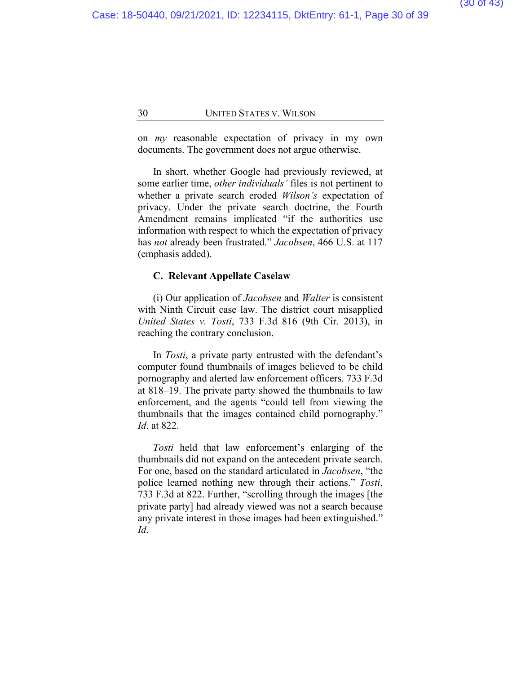on *my* reasonable expectation of privacy in my own documents. The government does not argue otherwise.

In short, whether Google had previously reviewed, at some earlier time, *other individuals'* files is not pertinent to whether a private search eroded *Wilson's* expectation of privacy. Under the private search doctrine, the Fourth Amendment remains implicated "if the authorities use information with respect to which the expectation of privacy has *not* already been frustrated." *Jacobsen*, 466 U.S. at 117 (emphasis added).

#### **C. Relevant Appellate Caselaw**

(i) Our application of *Jacobsen* and *Walter* is consistent with Ninth Circuit case law. The district court misapplied *United States v. Tosti*, 733 F.3d 816 (9th Cir. 2013), in reaching the contrary conclusion.

In *Tosti*, a private party entrusted with the defendant's computer found thumbnails of images believed to be child pornography and alerted law enforcement officers. 733 F.3d at 818–19. The private party showed the thumbnails to law enforcement, and the agents "could tell from viewing the thumbnails that the images contained child pornography." *Id*. at 822.

*Tosti* held that law enforcement's enlarging of the thumbnails did not expand on the antecedent private search. For one, based on the standard articulated in *Jacobsen*, "the police learned nothing new through their actions." *Tosti*, 733 F.3d at 822. Further, "scrolling through the images [the private party] had already viewed was not a search because any private interest in those images had been extinguished." *Id*.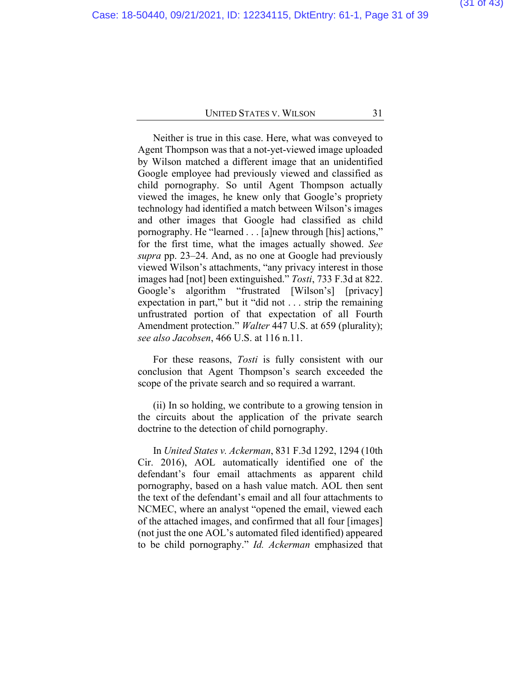Neither is true in this case. Here, what was conveyed to Agent Thompson was that a not-yet-viewed image uploaded by Wilson matched a different image that an unidentified Google employee had previously viewed and classified as child pornography. So until Agent Thompson actually viewed the images, he knew only that Google's propriety technology had identified a match between Wilson's images and other images that Google had classified as child pornography. He "learned . . . [a]new through [his] actions," for the first time, what the images actually showed. *See supra* pp. [23–24.](#page-38-0) And, as no one at Google had previously viewed Wilson's attachments, "any privacy interest in those images had [not] been extinguished." *Tosti*, 733 F.3d at 822. Google's algorithm "frustrated [Wilson's] [privacy] expectation in part," but it "did not . . . strip the remaining unfrustrated portion of that expectation of all Fourth Amendment protection." *Walter* 447 U.S. at 659 (plurality); *see also Jacobsen*, 466 U.S. at 116 n.11.

For these reasons, *Tosti* is fully consistent with our conclusion that Agent Thompson's search exceeded the scope of the private search and so required a warrant.

(ii) In so holding, we contribute to a growing tension in the circuits about the application of the private search doctrine to the detection of child pornography.

In *United States v. Ackerman*, 831 F.3d 1292, 1294 (10th Cir. 2016), AOL automatically identified one of the defendant's four email attachments as apparent child pornography, based on a hash value match. AOL then sent the text of the defendant's email and all four attachments to NCMEC, where an analyst "opened the email, viewed each of the attached images, and confirmed that all four [images] (not just the one AOL's automated filed identified) appeared to be child pornography." *Id. Ackerman* emphasized that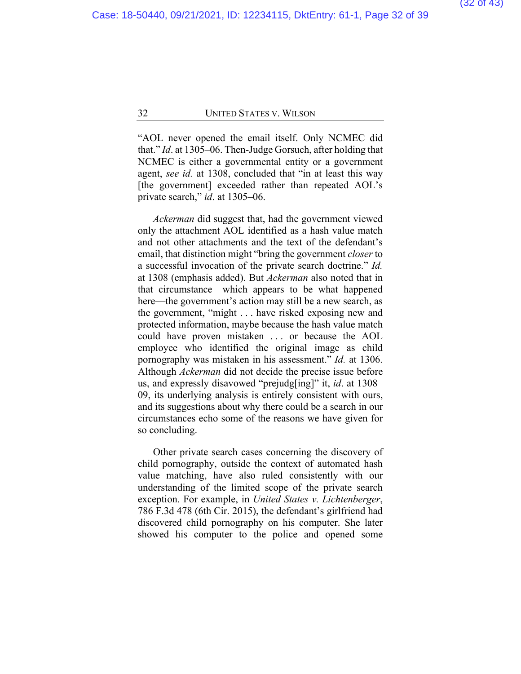"AOL never opened the email itself. Only NCMEC did that." *Id*. at 1305–06. Then-Judge Gorsuch, after holding that NCMEC is either a governmental entity or a government agent, *see id.* at 1308, concluded that "in at least this way [the government] exceeded rather than repeated AOL's private search," *id*. at 1305–06.

*Ackerman* did suggest that, had the government viewed only the attachment AOL identified as a hash value match and not other attachments and the text of the defendant's email, that distinction might "bring the government *closer* to a successful invocation of the private search doctrine." *Id.* at 1308 (emphasis added). But *Ackerman* also noted that in that circumstance—which appears to be what happened here—the government's action may still be a new search, as the government, "might . . . have risked exposing new and protected information, maybe because the hash value match could have proven mistaken . . . or because the AOL employee who identified the original image as child pornography was mistaken in his assessment." *Id.* at 1306. Although *Ackerman* did not decide the precise issue before us, and expressly disavowed "prejudg[ing]" it, *id*. at 1308– 09, its underlying analysis is entirely consistent with ours, and its suggestions about why there could be a search in our circumstances echo some of the reasons we have given for so concluding.

Other private search cases concerning the discovery of child pornography, outside the context of automated hash value matching, have also ruled consistently with our understanding of the limited scope of the private search exception. For example, in *United States v. Lichtenberger*, 786 F.3d 478 (6th Cir. 2015), the defendant's girlfriend had discovered child pornography on his computer. She later showed his computer to the police and opened some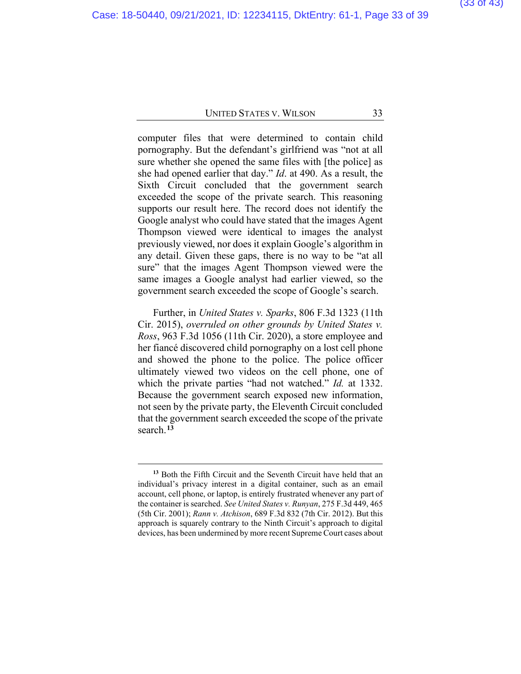computer files that were determined to contain child pornography. But the defendant's girlfriend was "not at all sure whether she opened the same files with [the police] as she had opened earlier that day." *Id*. at 490. As a result, the Sixth Circuit concluded that the government search exceeded the scope of the private search. This reasoning supports our result here. The record does not identify the Google analyst who could have stated that the images Agent Thompson viewed were identical to images the analyst previously viewed, nor does it explain Google's algorithm in any detail. Given these gaps, there is no way to be "at all sure" that the images Agent Thompson viewed were the same images a Google analyst had earlier viewed, so the government search exceeded the scope of Google's search.

Further, in *United States v. Sparks*, 806 F.3d 1323 (11th Cir. 2015), *overruled on other grounds by United States v. Ross*, 963 F.3d 1056 (11th Cir. 2020), a store employee and her fiancé discovered child pornography on a lost cell phone and showed the phone to the police. The police officer ultimately viewed two videos on the cell phone, one of which the private parties "had not watched." *Id.* at 1332. Because the government search exposed new information, not seen by the private party, the Eleventh Circuit concluded that the government search exceeded the scope of the private search.**[13](#page-38-0)**

**<sup>13</sup>** Both the Fifth Circuit and the Seventh Circuit have held that an individual's privacy interest in a digital container, such as an email account, cell phone, or laptop, is entirely frustrated whenever any part of the container is searched. *See United States v. Runyan*, 275 F.3d 449, 465 (5th Cir. 2001); *Rann v. Atchison*, 689 F.3d 832 (7th Cir. 2012). But this approach is squarely contrary to the Ninth Circuit's approach to digital devices, has been undermined by more recent Supreme Court cases about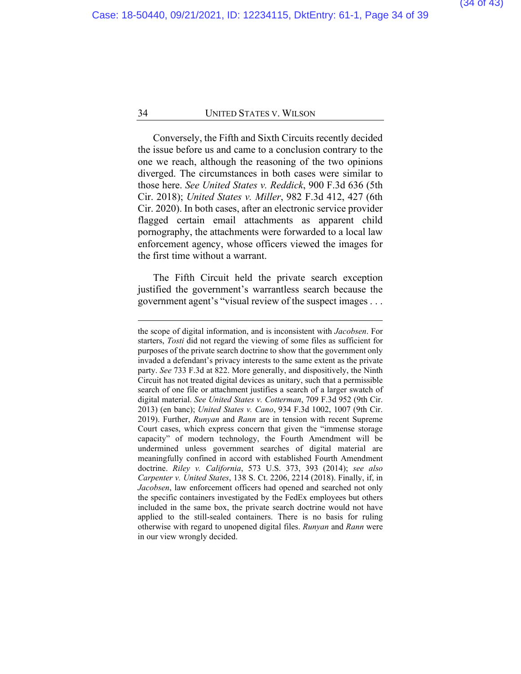Conversely, the Fifth and Sixth Circuits recently decided the issue before us and came to a conclusion contrary to the one we reach, although the reasoning of the two opinions diverged. The circumstances in both cases were similar to those here. *See United States v. Reddick*, 900 F.3d 636 (5th Cir. 2018); *United States v. Miller*, 982 F.3d 412, 427 (6th Cir. 2020). In both cases, after an electronic service provider flagged certain email attachments as apparent child pornography, the attachments were forwarded to a local law enforcement agency, whose officers viewed the images for the first time without a warrant.

The Fifth Circuit held the private search exception justified the government's warrantless search because the government agent's "visual review of the suspect images . . .

the scope of digital information, and is inconsistent with *Jacobsen*. For starters, *Tosti* did not regard the viewing of some files as sufficient for purposes of the private search doctrine to show that the government only invaded a defendant's privacy interests to the same extent as the private party. *See* 733 F.3d at 822. More generally, and dispositively, the Ninth Circuit has not treated digital devices as unitary, such that a permissible search of one file or attachment justifies a search of a larger swatch of digital material. *See United States v. Cotterman*, 709 F.3d 952 (9th Cir. 2013) (en banc); *United States v. Cano*, 934 F.3d 1002, 1007 (9th Cir. 2019). Further, *Runyan* and *Rann* are in tension with recent Supreme Court cases, which express concern that given the "immense storage capacity" of modern technology, the Fourth Amendment will be undermined unless government searches of digital material are meaningfully confined in accord with established Fourth Amendment doctrine. *Riley v. California*, 573 U.S. 373, 393 (2014); *see also Carpenter v. United States*, 138 S. Ct. 2206, 2214 (2018). Finally, if, in *Jacobsen*, law enforcement officers had opened and searched not only the specific containers investigated by the FedEx employees but others included in the same box, the private search doctrine would not have applied to the still-sealed containers. There is no basis for ruling otherwise with regard to unopened digital files. *Runyan* and *Rann* were in our view wrongly decided.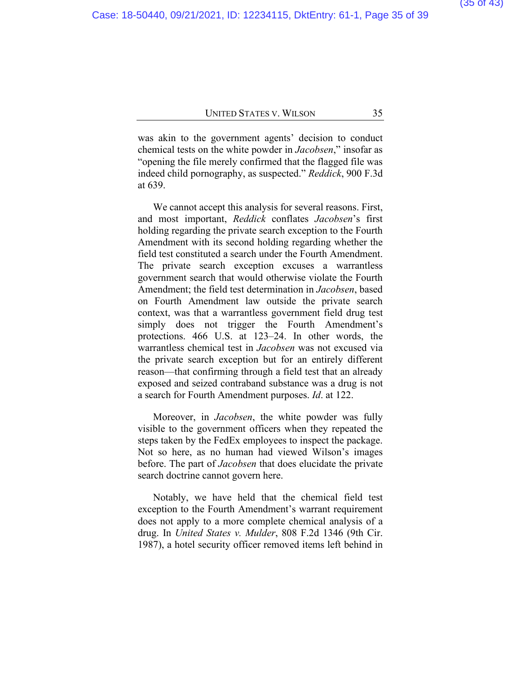was akin to the government agents' decision to conduct chemical tests on the white powder in *Jacobsen*," insofar as "opening the file merely confirmed that the flagged file was indeed child pornography, as suspected." *Reddick*, 900 F.3d at 639.

We cannot accept this analysis for several reasons. First, and most important, *Reddick* conflates *Jacobsen*'s first holding regarding the private search exception to the Fourth Amendment with its second holding regarding whether the field test constituted a search under the Fourth Amendment. The private search exception excuses a warrantless government search that would otherwise violate the Fourth Amendment; the field test determination in *Jacobsen*, based on Fourth Amendment law outside the private search context, was that a warrantless government field drug test simply does not trigger the Fourth Amendment's protections. 466 U.S. at 123–24. In other words, the warrantless chemical test in *Jacobsen* was not excused via the private search exception but for an entirely different reason—that confirming through a field test that an already exposed and seized contraband substance was a drug is not a search for Fourth Amendment purposes. *Id*. at 122.

Moreover, in *Jacobsen*, the white powder was fully visible to the government officers when they repeated the steps taken by the FedEx employees to inspect the package. Not so here, as no human had viewed Wilson's images before. The part of *Jacobsen* that does elucidate the private search doctrine cannot govern here.

Notably, we have held that the chemical field test exception to the Fourth Amendment's warrant requirement does not apply to a more complete chemical analysis of a drug. In *United States v. Mulder*, 808 F.2d 1346 (9th Cir. 1987), a hotel security officer removed items left behind in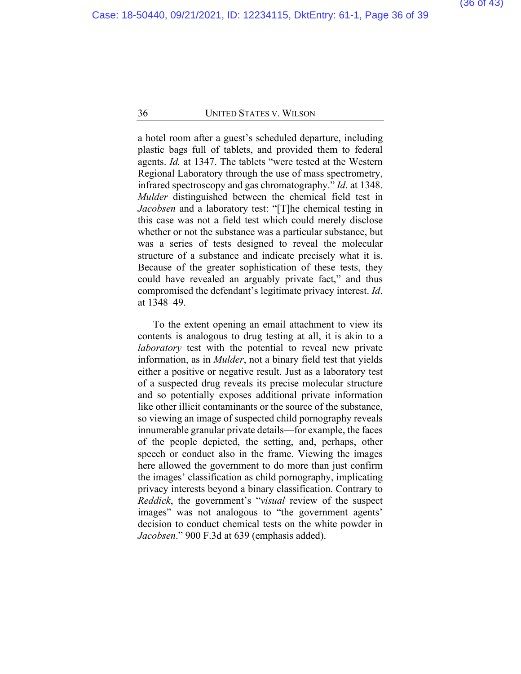a hotel room after a guest's scheduled departure, including plastic bags full of tablets, and provided them to federal agents. *Id.* at 1347. The tablets "were tested at the Western Regional Laboratory through the use of mass spectrometry, infrared spectroscopy and gas chromatography." *Id*. at 1348. *Mulder* distinguished between the chemical field test in *Jacobsen* and a laboratory test: "[T]he chemical testing in this case was not a field test which could merely disclose whether or not the substance was a particular substance, but was a series of tests designed to reveal the molecular structure of a substance and indicate precisely what it is. Because of the greater sophistication of these tests, they could have revealed an arguably private fact," and thus compromised the defendant's legitimate privacy interest. *Id*. at 1348–49.

To the extent opening an email attachment to view its contents is analogous to drug testing at all, it is akin to a *laboratory* test with the potential to reveal new private information, as in *Mulder*, not a binary field test that yields either a positive or negative result. Just as a laboratory test of a suspected drug reveals its precise molecular structure and so potentially exposes additional private information like other illicit contaminants or the source of the substance, so viewing an image of suspected child pornography reveals innumerable granular private details—for example, the faces of the people depicted, the setting, and, perhaps, other speech or conduct also in the frame. Viewing the images here allowed the government to do more than just confirm the images' classification as child pornography, implicating privacy interests beyond a binary classification. Contrary to *Reddick*, the government's "*visual* review of the suspect images" was not analogous to "the government agents' decision to conduct chemical tests on the white powder in *Jacobsen*." 900 F.3d at 639 (emphasis added).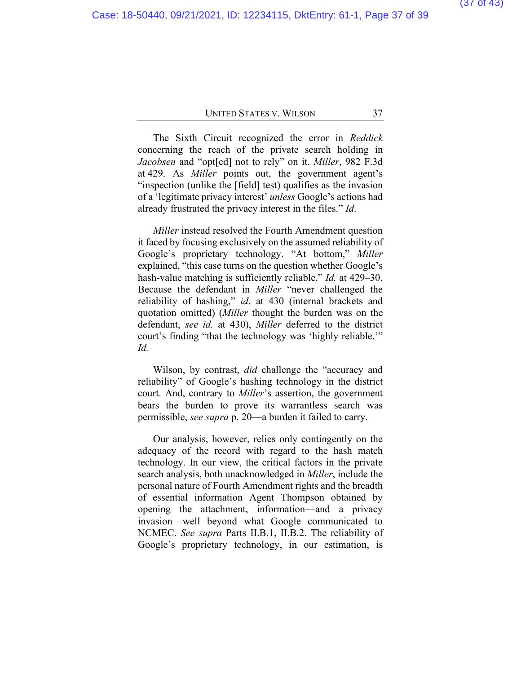The Sixth Circuit recognized the error in *Reddick* concerning the reach of the private search holding in *Jacobsen* and "opt[ed] not to rely" on it. *Miller*, 982 F.3d at 429. As *Miller* points out, the government agent's "inspection (unlike the [field] test) qualifies as the invasion of a 'legitimate privacy interest' *unless* Google's actions had already frustrated the privacy interest in the files." *Id*.

*Miller* instead resolved the Fourth Amendment question it faced by focusing exclusively on the assumed reliability of Google's proprietary technology. "At bottom," *Miller*  explained, "this case turns on the question whether Google's hash-value matching is sufficiently reliable." *Id.* at 429–30. Because the defendant in *Miller* "never challenged the reliability of hashing," *id*. at 430 (internal brackets and quotation omitted) (*Miller* thought the burden was on the defendant, *see id.* at 430), *Miller* deferred to the district court's finding "that the technology was 'highly reliable.'" *Id.*

Wilson, by contrast, *did* challenge the "accuracy and reliability" of Google's hashing technology in the district court. And, contrary to *Miller*'s assertion, the government bears the burden to prove its warrantless search was permissible, *see supra* p. 20—a burden it failed to carry.

Our analysis, however, relies only contingently on the adequacy of the record with regard to the hash match technology. In our view, the critical factors in the private search analysis, both unacknowledged in *Miller*, include the personal nature of Fourth Amendment rights and the breadth of essential information Agent Thompson obtained by opening the attachment, information—and a privacy invasion—well beyond what Google communicated to NCMEC. *See supra* Parts II.B.1, II.B.2. The reliability of Google's proprietary technology, in our estimation, is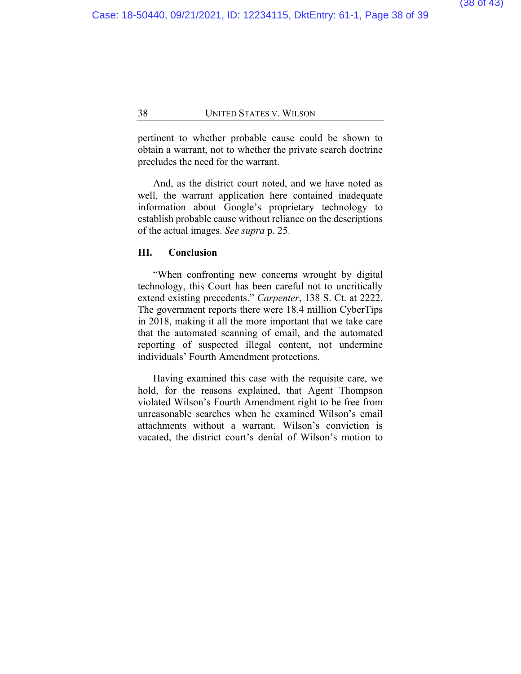pertinent to whether probable cause could be shown to obtain a warrant, not to whether the private search doctrine precludes the need for the warrant.

And, as the district court noted, and we have noted as well, the warrant application here contained inadequate information about Google's proprietary technology to establish probable cause without reliance on the descriptions of the actual images. *See supra* p. 25.

### **III. Conclusion**

"When confronting new concerns wrought by digital technology, this Court has been careful not to uncritically extend existing precedents." *Carpenter*, 138 S. Ct. at 2222. The government reports there were 18.4 million CyberTips in 2018, making it all the more important that we take care that the automated scanning of email, and the automated reporting of suspected illegal content, not undermine individuals' Fourth Amendment protections.

Having examined this case with the requisite care, we hold, for the reasons explained, that Agent Thompson violated Wilson's Fourth Amendment right to be free from unreasonable searches when he examined Wilson's email attachments without a warrant. Wilson's conviction is vacated, the district court's denial of Wilson's motion to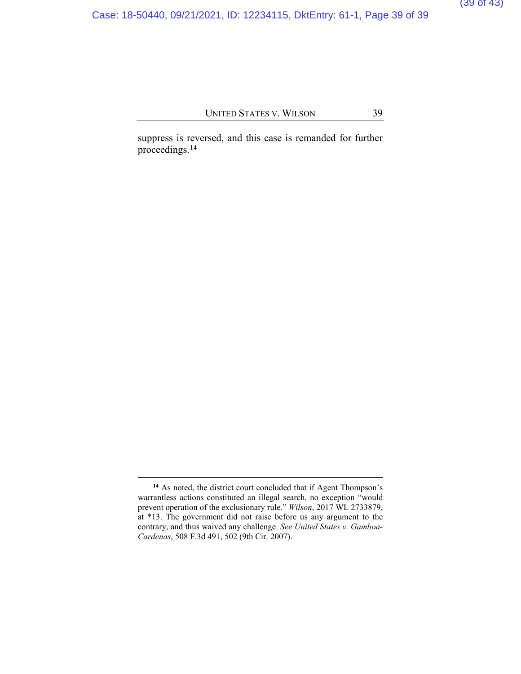Case: 18-50440, 09/21/2021, ID: 12234115, DktEntry: 61-1, Page 39 of 39

## UNITED STATES V. WILSON 39

suppress is reversed, and this case is remanded for further proceedings.**[14](#page-38-0)**

<span id="page-38-0"></span>**<sup>14</sup>** As noted, the district court concluded that if Agent Thompson's warrantless actions constituted an illegal search, no exception "would prevent operation of the exclusionary rule." *Wilson*, 2017 WL 2733879, at \*13. The government did not raise before us any argument to the contrary, and thus waived any challenge. *See United States v. Gamboa-Cardenas*, 508 F.3d 491, 502 (9th Cir. 2007).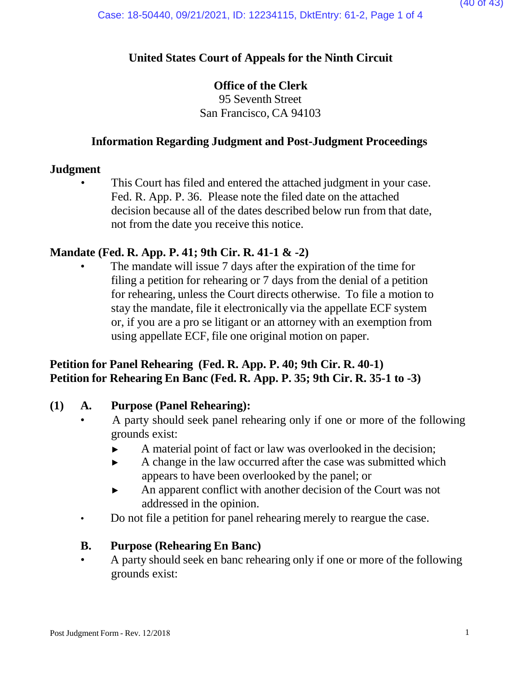## **United States Court of Appeals for the Ninth Circuit**

## **Office of the Clerk**

95 Seventh Street San Francisco, CA 94103

## **Information Regarding Judgment and Post-Judgment Proceedings**

## **Judgment**

This Court has filed and entered the attached judgment in your case. Fed. R. App. P. 36. Please note the filed date on the attached decision because all of the dates described below run from that date, not from the date you receive this notice.

## **Mandate (Fed. R. App. P. 41; 9th Cir. R. 41-1 & -2)**

The mandate will issue 7 days after the expiration of the time for filing a petition for rehearing or 7 days from the denial of a petition for rehearing, unless the Court directs otherwise. To file a motion to stay the mandate, file it electronically via the appellate ECF system or, if you are a pro se litigant or an attorney with an exemption from using appellate ECF, file one original motion on paper.

## **Petition for Panel Rehearing (Fed. R. App. P. 40; 9th Cir. R. 40-1) Petition for Rehearing En Banc (Fed. R. App. P. 35; 9th Cir. R. 35-1 to -3)**

## **(1) A. Purpose (Panel Rehearing):**

- A party should seek panel rehearing only if one or more of the following grounds exist:
	- ► A material point of fact or law was overlooked in the decision;
	- ► A change in the law occurred after the case was submitted which appears to have been overlooked by the panel; or
	- ► An apparent conflict with another decision of the Court was not addressed in the opinion.
- Do not file a petition for panel rehearing merely to reargue the case.

## **B. Purpose (Rehearing En Banc)**

• A party should seek en banc rehearing only if one or more of the following grounds exist: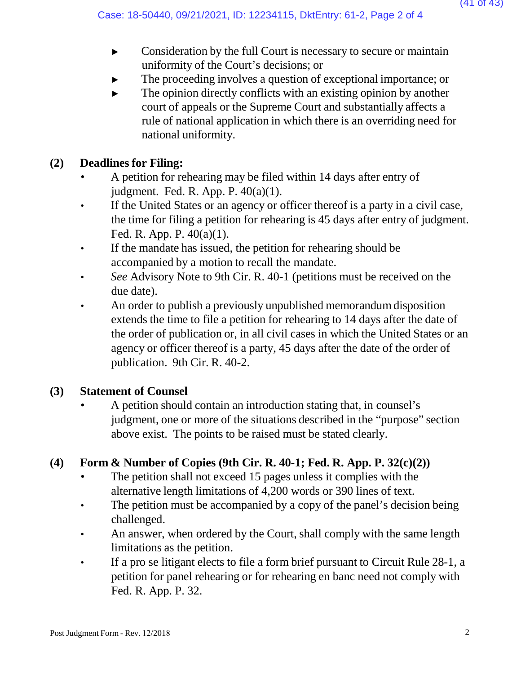- ► Consideration by the full Court is necessary to secure or maintain uniformity of the Court's decisions; or
- The proceeding involves a question of exceptional importance; or
- $\blacktriangleright$  The opinion directly conflicts with an existing opinion by another court of appeals or the Supreme Court and substantially affects a rule of national application in which there is an overriding need for national uniformity.

# **(2) Deadlines for Filing:**

- A petition for rehearing may be filed within 14 days after entry of judgment. Fed. R. App. P. 40(a)(1).
- If the United States or an agency or officer thereof is a party in a civil case, the time for filing a petition for rehearing is 45 days after entry of judgment. Fed. R. App. P. 40(a)(1).
- If the mandate has issued, the petition for rehearing should be accompanied by a motion to recall the mandate.
- *See* Advisory Note to 9th Cir. R. 40-1 (petitions must be received on the due date).
- An order to publish a previously unpublished memorandum disposition extends the time to file a petition for rehearing to 14 days after the date of the order of publication or, in all civil cases in which the United States or an agency or officer thereof is a party, 45 days after the date of the order of publication. 9th Cir. R. 40-2.

# **(3) Statement of Counsel**

• A petition should contain an introduction stating that, in counsel's judgment, one or more of the situations described in the "purpose" section above exist. The points to be raised must be stated clearly.

# **(4) Form & Number of Copies (9th Cir. R. 40-1; Fed. R. App. P. 32(c)(2))**

- The petition shall not exceed 15 pages unless it complies with the alternative length limitations of 4,200 words or 390 lines of text.
- The petition must be accompanied by a copy of the panel's decision being challenged.
- An answer, when ordered by the Court, shall comply with the same length limitations as the petition.
- If a pro se litigant elects to file a form brief pursuant to Circuit Rule 28-1, a petition for panel rehearing or for rehearing en banc need not comply with Fed. R. App. P. 32.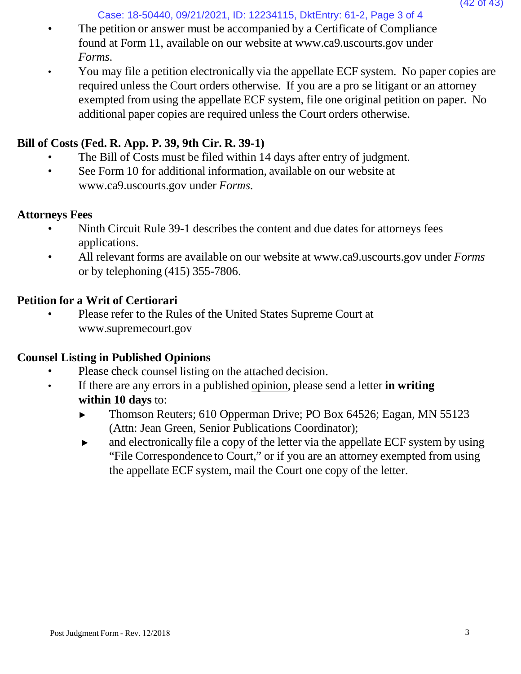Case: 18-50440, 09/21/2021, ID: 12234115, DktEntry: 61-2, Page 3 of 4

- The petition or answer must be accompanied by a Certificate of Compliance found at Form 11, available on our website [at www.ca9.uscourts.gov](http://www.ca9.uscourts.gov/) under *Forms.*
- You may file a petition electronically via the appellate ECF system. No paper copies are required unless the Court orders otherwise. If you are a pro se litigant or an attorney exempted from using the appellate ECF system, file one original petition on paper. No additional paper copies are required unless the Court orders otherwise.

## **Bill of Costs (Fed. R. App. P. 39, 9th Cir. R. 39-1)**

- The Bill of Costs must be filed within 14 days after entry of judgment.
- See Form 10 for addi[t](http://www.ca9.uscourts.gov/)ional information, available on our website at [www.ca9.uscourts.gov](http://www.ca9.uscourts.gov/) under *Forms.*

## **Attorneys Fees**

- Ninth Circuit Rule 39-1 describes the content and due dates for attorneys fees applications.
- All relevant forms are available on our website at [www.ca9.uscourts.gov](http://www.ca9.uscourts.gov/) under *Forms* or by telephoning (415) 355-7806.

# **Petition for a Writ of Certiorari**

• Please refer to the Rules of the United States Supreme Court a[t](http://www.supremecourt.gov/) [www.supremecourt.gov](http://www.supremecourt.gov/)

# **Counsel Listing in Published Opinions**

- Please check counsel listing on the attached decision.
- If there are any errors in a published opinion, please send a letter **in writing within 10 days** to:
	- ► Thomson Reuters; 610 Opperman Drive; PO Box 64526; Eagan, MN 55123 (Attn: Jean Green, Senior Publications Coordinator);
	- ► and electronically file a copy of the letter via the appellate ECF system by using "File Correspondence to Court," or if you are an attorney exempted from using the appellate ECF system, mail the Court one copy of the letter.